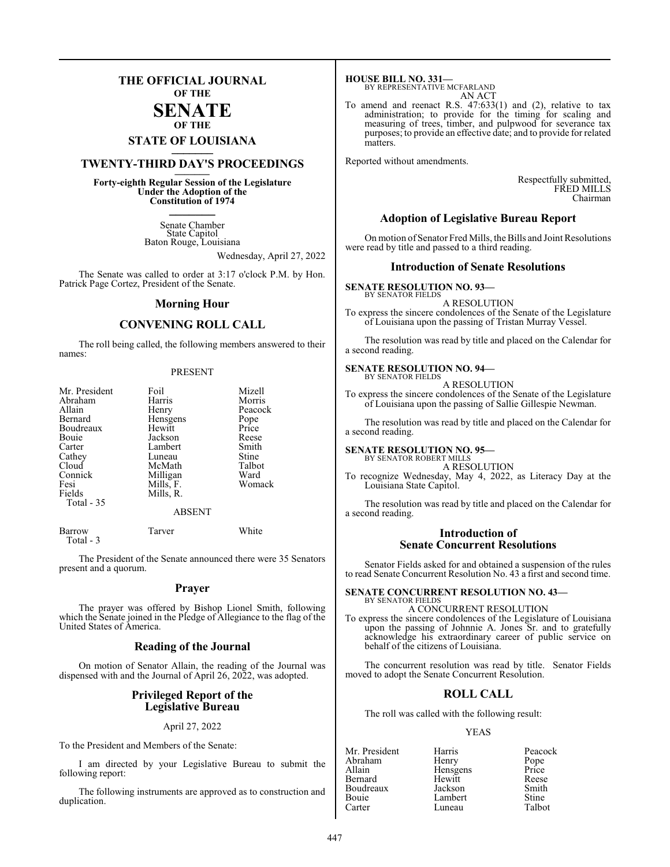### **THE OFFICIAL JOURNAL OF THE**

#### **SENATE OF THE**

## **STATE OF LOUISIANA \_\_\_\_\_\_\_**

## **TWENTY-THIRD DAY'S PROCEEDINGS \_\_\_\_\_\_\_**

**Forty-eighth Regular Session of the Legislature Under the Adoption of the Constitution of 1974 \_\_\_\_\_\_\_**

> Senate Chamber State Capitol Baton Rouge, Louisiana

> > Wednesday, April 27, 2022

The Senate was called to order at 3:17 o'clock P.M. by Hon. Patrick Page Cortez, President of the Senate.

#### **Morning Hour**

### **CONVENING ROLL CALL**

The roll being called, the following members answered to their names:

#### PRESENT

| Mr. President<br>Abraham<br>Allain<br>Bernard<br>Boudreaux<br>Bouie<br>Carter<br>Cathey<br>Cloud<br>Connick<br>Fesi<br>Fields<br>Total - 35 | Foil<br>Harris<br>Henry<br>Hensgens<br>Hewitt<br>Jackson<br>Lambert<br>Luneau<br>McMath<br>Milligan<br>Mills, F.<br>Mills, R.<br><b>ABSENT</b> | Mizell<br>Morris<br>Peacock<br>Pope<br>Price<br>Reese<br>Smith<br>Stine<br>Talbot<br>Ward<br>Womack |
|---------------------------------------------------------------------------------------------------------------------------------------------|------------------------------------------------------------------------------------------------------------------------------------------------|-----------------------------------------------------------------------------------------------------|
| <b>Barrow</b>                                                                                                                               | Tarver                                                                                                                                         | White                                                                                               |

Total - 3

The President of the Senate announced there were 35 Senators present and a quorum.

#### **Prayer**

The prayer was offered by Bishop Lionel Smith, following which the Senate joined in the Pledge of Allegiance to the flag of the United States of America.

#### **Reading of the Journal**

On motion of Senator Allain, the reading of the Journal was dispensed with and the Journal of April 26, 2022, was adopted.

#### **Privileged Report of the Legislative Bureau**

#### April 27, 2022

To the President and Members of the Senate:

I am directed by your Legislative Bureau to submit the following report:

The following instruments are approved as to construction and duplication.

**HOUSE BILL NO. 331—** BY REPRESENTATIVE MCFARLAND AN ACT

To amend and reenact R.S. 47:633(1) and (2), relative to tax administration; to provide for the timing for scaling and measuring of trees, timber, and pulpwood for severance tax purposes; to provide an effective date; and to provide for related matters.

Reported without amendments.

Respectfully submitted, FRED MILLS Chairman

#### **Adoption of Legislative Bureau Report**

On motion of Senator Fred Mills, the Bills and Joint Resolutions were read by title and passed to a third reading.

#### **Introduction of Senate Resolutions**

#### **SENATE RESOLUTION NO. 93—** BY SENATOR FIELDS

A RESOLUTION

To express the sincere condolences of the Senate of the Legislature of Louisiana upon the passing of Tristan Murray Vessel.

The resolution was read by title and placed on the Calendar for a second reading.

#### **SENATE RESOLUTION NO. 94—**

BY SENATOR FIELDS A RESOLUTION

To express the sincere condolences of the Senate of the Legislature of Louisiana upon the passing of Sallie Gillespie Newman.

The resolution was read by title and placed on the Calendar for a second reading.

#### **SENATE RESOLUTION NO. 95—**

BY SENATOR ROBERT MILLS A RESOLUTION

To recognize Wednesday, May 4, 2022, as Literacy Day at the Louisiana State Capitol.

The resolution was read by title and placed on the Calendar for a second reading.

#### **Introduction of Senate Concurrent Resolutions**

Senator Fields asked for and obtained a suspension of the rules to read Senate Concurrent Resolution No. 43 a first and second time.

#### **SENATE CONCURRENT RESOLUTION NO. 43—** BY SENATOR FIELDS

A CONCURRENT RESOLUTION To express the sincere condolences of the Legislature of Louisiana upon the passing of Johnnie A. Jones Sr. and to gratefully acknowledge his extraordinary career of public service on behalf of the citizens of Louisiana.

The concurrent resolution was read by title. Senator Fields moved to adopt the Senate Concurrent Resolution.

#### **ROLL CALL**

The roll was called with the following result:

#### YEAS

Mr. President Harris Peacock<br>Abraham Henry Pope Abraham Henry Pope<br>
Allain Hensgens Price Allain **Hensens** Price<br> **Bernard** Hewitt Reese Hewitt Reese<br>Jackson Smith Boudreaux Jackson Smith Bouie Lambert Stine<br>Carter Luneau Talbot Carter Luneau Talbot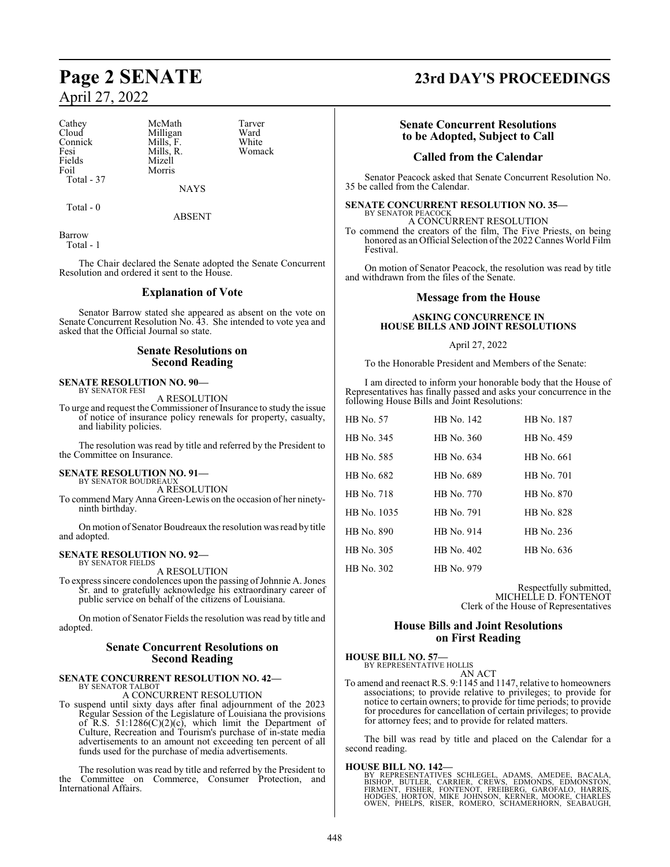Cathey McMath Tarver<br>Cloud Milligan Ward Cloud Milligan Ward<br>
Connick Mills. F. White Connick Mills, F. White<br>
Fesi Mills R Womack Fesi Mills, R.<br>Fields Mizell Fields Mizell<br>Foil Morris Total - 37

**NAYS** 

ABSENT

Morris

Barrow Total - 1

Total - 0

The Chair declared the Senate adopted the Senate Concurrent Resolution and ordered it sent to the House.

#### **Explanation of Vote**

Senator Barrow stated she appeared as absent on the vote on Senate Concurrent Resolution No. 43. She intended to vote yea and asked that the Official Journal so state.

#### **Senate Resolutions on Second Reading**

#### **SENATE RESOLUTION NO. 90—** BY SENATOR FESI

A RESOLUTION

To urge and request the Commissioner of Insurance to study the issue of notice of insurance policy renewals for property, casualty, and liability policies.

The resolution was read by title and referred by the President to the Committee on Insurance.

#### **SENATE RESOLUTION NO. 91—**

BY SENATOR BOUDREAUX A RESOLUTION

To commend Mary Anna Green-Lewis on the occasion of her ninetyninth birthday.

On motion of Senator Boudreaux the resolution was read by title and adopted.

#### **SENATE RESOLUTION NO. 92—** BY SENATOR FIELDS

A RESOLUTION

To express sincere condolences upon the passing of Johnnie A. Jones Sr. and to gratefully acknowledge his extraordinary career of public service on behalf of the citizens of Louisiana.

On motion of Senator Fields the resolution was read by title and adopted.

#### **Senate Concurrent Resolutions on Second Reading**

#### **SENATE CONCURRENT RESOLUTION NO. 42—** BY SENATOR TALBOT

A CONCURRENT RESOLUTION

To suspend until sixty days after final adjournment of the 2023 Regular Session of the Legislature of Louisiana the provisions of R.S.  $51:1286(C)(2)(c)$ , which limit the Department of Culture, Recreation and Tourism's purchase of in-state media advertisements to an amount not exceeding ten percent of all funds used for the purchase of media advertisements.

The resolution was read by title and referred by the President to the Committee on Commerce, Consumer Protection, and International Affairs.

## **Page 2 SENATE 23rd DAY'S PROCEEDINGS**

### **Senate Concurrent Resolutions to be Adopted, Subject to Call**

#### **Called from the Calendar**

Senator Peacock asked that Senate Concurrent Resolution No. 35 be called from the Calendar.

#### **SENATE CONCURRENT RESOLUTION NO. 35—** BY SENATOR PEACOCK

A CONCURRENT RESOLUTION To commend the creators of the film, The Five Priests, on being honored as an Official Selection of the 2022 Cannes World Film Festival.

On motion of Senator Peacock, the resolution was read by title and withdrawn from the files of the Senate.

#### **Message from the House**

#### **ASKING CONCURRENCE IN HOUSE BILLS AND JOINT RESOLUTIONS**

#### April 27, 2022

To the Honorable President and Members of the Senate:

I am directed to inform your honorable body that the House of Representatives has finally passed and asks your concurrence in the following House Bills and Joint Resolutions:

| HB No. 57   | HB No. 142 | HB No. 187 |
|-------------|------------|------------|
| HB No. 345  | HB No. 360 | HB No. 459 |
| HB No. 585  | HB No. 634 | HB No. 661 |
| HB No. 682  | HB No. 689 | HB No. 701 |
| HB No. 718  | HB No. 770 | HB No. 870 |
| HB No. 1035 | HB No. 791 | HB No. 828 |
| HB No. 890  | HB No. 914 | HB No. 236 |
| HB No. 305  | HB No. 402 | HB No. 636 |
| HB No. 302  | HB No. 979 |            |

Respectfully submitted, MICHELLE D. FONTENOT Clerk of the House of Representatives

#### **House Bills and Joint Resolutions on First Reading**

**HOUSE BILL NO. 57—** BY REPRESENTATIVE HOLLIS

AN ACT

To amend and reenact R.S. 9:1145 and 1147, relative to homeowners associations; to provide relative to privileges; to provide for notice to certain owners; to provide for time periods; to provide for procedures for cancellation of certain privileges; to provide for attorney fees; and to provide for related matters.

The bill was read by title and placed on the Calendar for a second reading.

**HOUSE BILL NO. 142—**<br>BY REPRESENTATIVES SCHLEGEL, ADAMS, AMEDEE, BACALA,<br>BISHOP, BUTLER, CARRIER, CREWS, EDMONDS, EDMONSTON,<br>FIRMENT, FISHER, FONTENOT, FREIBERG, GAROFALO, HARRIS,<br>HODGES, HORTON, MIKE JOHNSON, KERNER, MOO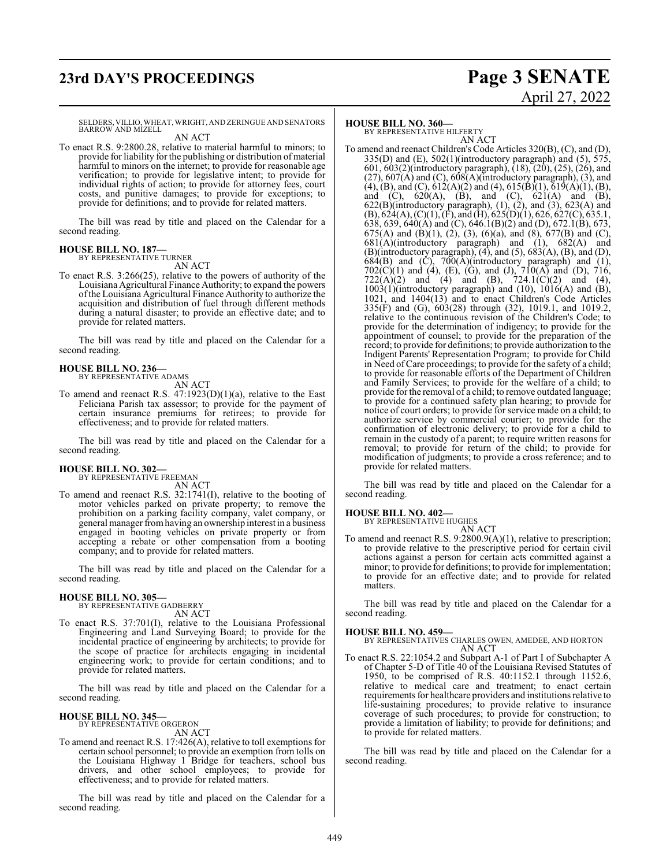## **23rd DAY'S PROCEEDINGS Page 3 SENATE**

# April 27, 2022

SELDERS, VILLIO, WHEAT, WRIGHT, AND ZERINGUE AND SENATORS BARROW AND MIZELL AN ACT

To enact R.S. 9:2800.28, relative to material harmful to minors; to provide for liability for the publishing or distribution of material harmful to minors on the internet; to provide for reasonable age verification; to provide for legislative intent; to provide for individual rights of action; to provide for attorney fees, court costs, and punitive damages; to provide for exceptions; to provide for definitions; and to provide for related matters.

The bill was read by title and placed on the Calendar for a second reading.

## **HOUSE BILL NO. 187—** BY REPRESENTATIVE TURNER

AN ACT

To enact R.S. 3:266(25), relative to the powers of authority of the Louisiana Agricultural Finance Authority; to expand the powers ofthe Louisiana Agricultural Finance Authority to authorize the acquisition and distribution of fuel through different methods during a natural disaster; to provide an effective date; and to provide for related matters.

The bill was read by title and placed on the Calendar for a second reading.

#### **HOUSE BILL NO. 236—** BY REPRESENTATIVE ADAMS

AN ACT

To amend and reenact R.S.  $47:1923(D)(1)(a)$ , relative to the East Feliciana Parish tax assessor; to provide for the payment of certain insurance premiums for retirees; to provide for effectiveness; and to provide for related matters.

The bill was read by title and placed on the Calendar for a second reading.

## **HOUSE BILL NO. 302—** BY REPRESENTATIVE FREEMAN

AN ACT

To amend and reenact R.S. 32:1741(I), relative to the booting of motor vehicles parked on private property; to remove the prohibition on a parking facility company, valet company, or general manager fromhaving an ownership interest in a business engaged in booting vehicles on private property or from accepting a rebate or other compensation from a booting company; and to provide for related matters.

The bill was read by title and placed on the Calendar for a second reading.

#### **HOUSE BILL NO. 305—**

BY REPRESENTATIVE GADBERRY AN ACT

To enact R.S. 37:701(I), relative to the Louisiana Professional Engineering and Land Surveying Board; to provide for the incidental practice of engineering by architects; to provide for the scope of practice for architects engaging in incidental engineering work; to provide for certain conditions; and to provide for related matters.

The bill was read by title and placed on the Calendar for a second reading.

#### **HOUSE BILL NO. 345—**

BY REPRESENTATIVE ORGERON AN ACT

To amend and reenact R.S. 17:426(A), relative to toll exemptions for certain school personnel; to provide an exemption from tolls on the Louisiana Highway 1 Bridge for teachers, school bus drivers, and other school employees; to provide for effectiveness; and to provide for related matters.

The bill was read by title and placed on the Calendar for a second reading.

#### **HOUSE BILL NO. 360—**

BY REPRESENTATIVE HILFERTY AN ACT

To amend and reenact Children's Code Articles 320(B), (C), and (D), 335(D) and (E), 502(1)(introductory paragraph) and  $(5)$ , 575, 601, 603(2)(introductory paragraph), (18), (20), (25), (26), and  $(27)$ ,  $607(A)$  and  $(C)$ ,  $608(A)$ (introductory paragraph),  $(3)$ , and  $(4)$ ,  $(B)$ , and  $(C)$ ,  $612(A)(2)$  and  $(4)$ ,  $615(B)(1)$ ,  $619(A)(1)$ ,  $(B)$ , and (C),  $620(A)$ , (B), and (C),  $621(A)$  and (B),  $622(B)$ (introductory paragraph),  $(1)$ ,  $(2)$ , and  $(3)$ ,  $623(A)$  and  $(B)$ , 624(A), (C)(1), (F), and (H), 625(D)(1), 626, 627(C), 635.1, 638, 639, 640(A) and (C), 646.1(B)(2) and (D), 672.1(B), 673, 675(A) and (B)(1), (2), (3), (6)(a), and (8), 677(B) and (C),  $681(A)$ (introductory paragraph) and (1),  $682(A)$  and  $(B)(introducing paragraph), (4), and (5), 683(A), (B), and (D),$  $684(B)$  and  $(C)$ ,  $700(A)$ (introductory paragraph) and  $(1)$ ,  $702(C)(1)$  and (4), (E), (G), and (J),  $710(A)$  and (D),  $716$ ,  $722(A)(2)$  and  $(4)$  and  $(B)$ ,  $724.1(C)(2)$  and  $(4)$ ,  $1003(1)$ (introductory paragraph) and  $(10)$ ,  $1016(A)$  and  $(B)$ , 1021, and 1404(13) and to enact Children's Code Articles 335(F) and (G), 603(28) through (32), 1019.1, and 1019.2, relative to the continuous revision of the Children's Code; to provide for the determination of indigency; to provide for the appointment of counsel; to provide for the preparation of the record; to provide for definitions; to provide authorization to the Indigent Parents' Representation Program; to provide for Child in Need ofCare proceedings; to provide for the safety of a child; to provide for reasonable efforts of the Department of Children and Family Services; to provide for the welfare of a child; to provide for the removal of a child; to remove outdated language; to provide for a continued safety plan hearing; to provide for notice of court orders; to provide for service made on a child; to authorize service by commercial courier; to provide for the confirmation of electronic delivery; to provide for a child to remain in the custody of a parent; to require written reasons for removal; to provide for return of the child; to provide for modification of judgments; to provide a cross reference; and to provide for related matters.

The bill was read by title and placed on the Calendar for a second reading.

#### **HOUSE BILL NO. 402—**

BY REPRESENTATIVE HUGHES

AN ACT To amend and reenact R.S. 9:2800.9(A)(1), relative to prescription; to provide relative to the prescriptive period for certain civil actions against a person for certain acts committed against a minor; to provide for definitions; to provide for implementation; to provide for an effective date; and to provide for related matters.

The bill was read by title and placed on the Calendar for a second reading.

#### **HOUSE BILL NO. 459—**

BY REPRESENTATIVES CHARLES OWEN, AMEDEE, AND HORTON AN ACT

To enact R.S. 22:1054.2 and Subpart A-1 of Part I of Subchapter A of Chapter 5-D of Title 40 of the Louisiana Revised Statutes of 1950, to be comprised of R.S. 40:1152.1 through 1152.6, relative to medical care and treatment; to enact certain requirements for healthcare providers and institutions relative to life-sustaining procedures; to provide relative to insurance coverage of such procedures; to provide for construction; to provide a limitation of liability; to provide for definitions; and to provide for related matters.

The bill was read by title and placed on the Calendar for a second reading.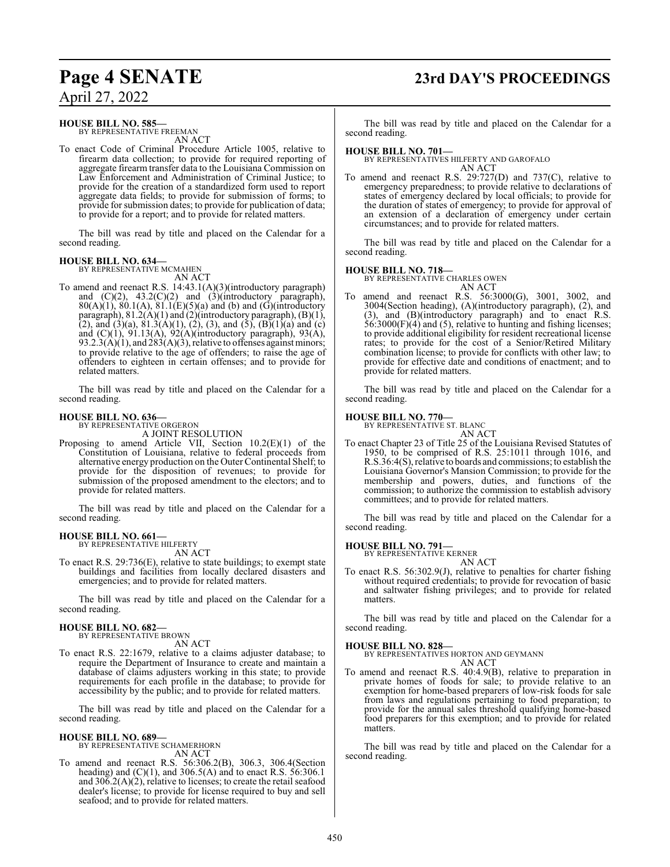## **Page 4 SENATE 23rd DAY'S PROCEEDINGS**

April 27, 2022

#### **HOUSE BILL NO. 585—**

BY REPRESENTATIVE FREEMAN AN ACT

To enact Code of Criminal Procedure Article 1005, relative to firearm data collection; to provide for required reporting of aggregate firearm transfer data to the Louisiana Commission on Law Enforcement and Administration of Criminal Justice; to provide for the creation of a standardized form used to report aggregate data fields; to provide for submission of forms; to provide for submission dates; to provide for publication of data; to provide for a report; and to provide for related matters.

The bill was read by title and placed on the Calendar for a second reading.

## **HOUSE BILL NO. 634—** BY REPRESENTATIVE MCMAHEN

AN ACT

To amend and reenact R.S. 14:43.1(A)(3)(introductory paragraph) and  $(C)(2)$ ,  $43.2(C)(2)$  and  $(3)$ (introductory paragraph),  $80(A)(1)$ ,  $80.1(A)$ ,  $81.1(E)(5)(a)$  and (b) and (G)(introductory paragraph), 81.2(A)(1) and (2)(introductory paragraph), (B)(1), (2), and (3)(a), 81.3(A)(1), (2), (3), and (5), (B)(1)(a) and (c) and (C)(1), 91.13(A), 92(A)(introductory paragraph), 93(A), 93.2.3(A)(1), and  $283(A)(3)$ , relative to offenses against minors; to provide relative to the age of offenders; to raise the age of offenders to eighteen in certain offenses; and to provide for related matters.

The bill was read by title and placed on the Calendar for a second reading.

#### **HOUSE BILL NO. 636—**

BY REPRESENTATIVE ORGERON

- A JOINT RESOLUTION
- Proposing to amend Article VII, Section 10.2(E)(1) of the Constitution of Louisiana, relative to federal proceeds from alternative energy production on the Outer Continental Shelf; to provide for the disposition of revenues; to provide for submission of the proposed amendment to the electors; and to provide for related matters.

The bill was read by title and placed on the Calendar for a second reading.

#### **HOUSE BILL NO. 661—**

BY REPRESENTATIVE HILFERTY AN ACT

To enact R.S. 29:736(E), relative to state buildings; to exempt state buildings and facilities from locally declared disasters and emergencies; and to provide for related matters.

The bill was read by title and placed on the Calendar for a second reading.

#### **HOUSE BILL NO. 682—** BY REPRESENTATIVE BROWN

AN ACT

To enact R.S. 22:1679, relative to a claims adjuster database; to require the Department of Insurance to create and maintain a database of claims adjusters working in this state; to provide requirements for each profile in the database; to provide for accessibility by the public; and to provide for related matters.

The bill was read by title and placed on the Calendar for a second reading.

#### **HOUSE BILL NO. 689—** BY REPRESENTATIVE SCHAMERHORN

AN ACT

To amend and reenact R.S. 56:306.2(B), 306.3, 306.4(Section heading) and  $(C)(1)$ , and 306.5(A) and to enact R.S. 56:306.1 and 306.2(A)(2), relative to licenses; to create the retail seafood dealer's license; to provide for license required to buy and sell seafood; and to provide for related matters.

The bill was read by title and placed on the Calendar for a second reading.

#### **HOUSE BILL NO. 701—**

BY REPRESENTATIVES HILFERTY AND GAROFALO AN ACT

To amend and reenact R.S. 29:727(D) and 737(C), relative to emergency preparedness; to provide relative to declarations of states of emergency declared by local officials; to provide for the duration of states of emergency; to provide for approval of an extension of a declaration of emergency under certain circumstances; and to provide for related matters.

The bill was read by title and placed on the Calendar for a second reading.

### **HOUSE BILL NO. 718—**

BY REPRESENTATIVE CHARLES OWEN

- AN ACT
- To amend and reenact R.S. 56:3000(G), 3001, 3002, and 3004(Section heading), (A)(introductory paragraph), (2), and (3), and (B)(introductory paragraph) and to enact R.S. 56:3000(F)(4) and (5), relative to hunting and fishing licenses; to provide additional eligibility for resident recreational license rates; to provide for the cost of a Senior/Retired Military combination license; to provide for conflicts with other law; to provide for effective date and conditions of enactment; and to provide for related matters.

The bill was read by title and placed on the Calendar for a second reading.

#### **HOUSE BILL NO. 770—**

BY REPRESENTATIVE ST. BLANC AN ACT

To enact Chapter 23 of Title 25 of the Louisiana Revised Statutes of 1950, to be comprised of R.S. 25:1011 through 1016, and R.S.36:4(S), relative to boards and commissions; to establish the Louisiana Governor's Mansion Commission; to provide for the membership and powers, duties, and functions of the commission; to authorize the commission to establish advisory committees; and to provide for related matters.

The bill was read by title and placed on the Calendar for a second reading.

**HOUSE BILL NO. 791—**

BY REPRESENTATIVE KERNER AN ACT

To enact R.S. 56:302.9(J), relative to penalties for charter fishing without required credentials; to provide for revocation of basic and saltwater fishing privileges; and to provide for related matters.

The bill was read by title and placed on the Calendar for a second reading.

#### **HOUSE BILL NO. 828—**

BY REPRESENTATIVES HORTON AND GEYMANN AN ACT

To amend and reenact R.S. 40:4.9(B), relative to preparation in private homes of foods for sale; to provide relative to an exemption for home-based preparers of low-risk foods for sale from laws and regulations pertaining to food preparation; to provide for the annual sales threshold qualifying home-based food preparers for this exemption; and to provide for related matters.

The bill was read by title and placed on the Calendar for a second reading.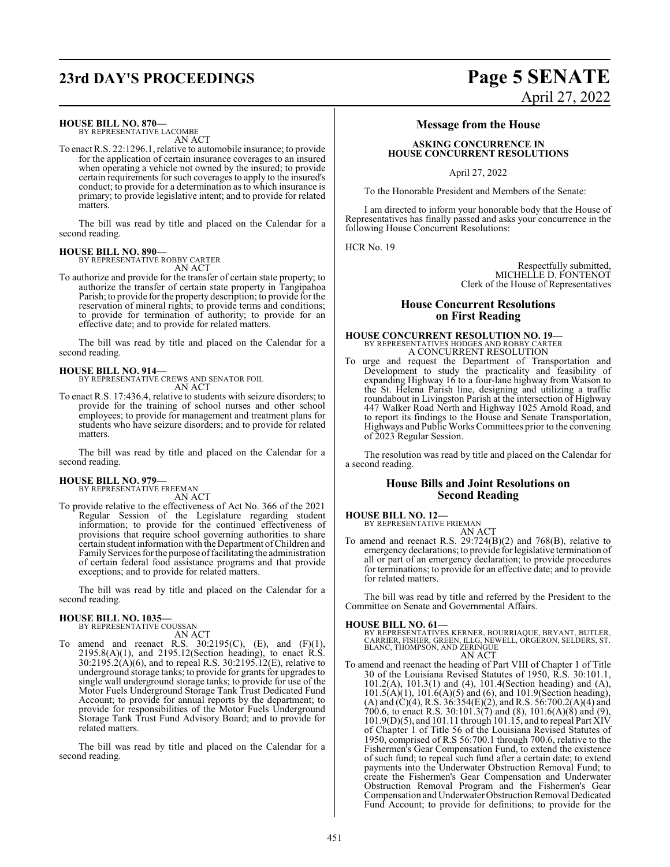## **23rd DAY'S PROCEEDINGS Page 5 SENATE**

#### **HOUSE BILL NO. 870—**

BY REPRESENTATIVE LACOMBE AN ACT

To enact R.S. 22:1296.1, relative to automobile insurance; to provide for the application of certain insurance coverages to an insured when operating a vehicle not owned by the insured; to provide certain requirements for such coverages to apply to the insured's conduct; to provide for a determination as to which insurance is primary; to provide legislative intent; and to provide for related matters.

The bill was read by title and placed on the Calendar for a second reading.

### **HOUSE BILL NO. 890—**

BY REPRESENTATIVE ROBBY CARTER AN ACT

To authorize and provide for the transfer of certain state property; to authorize the transfer of certain state property in Tangipahoa Parish; to provide for the property description; to provide for the reservation of mineral rights; to provide terms and conditions; to provide for termination of authority; to provide for an effective date; and to provide for related matters.

The bill was read by title and placed on the Calendar for a second reading.

**HOUSE BILL NO. 914—** BY REPRESENTATIVE CREWS AND SENATOR FOIL AN ACT

To enact R.S. 17:436.4, relative to students with seizure disorders; to provide for the training of school nurses and other school employees; to provide for management and treatment plans for students who have seizure disorders; and to provide for related matters.

The bill was read by title and placed on the Calendar for a second reading.

## **HOUSE BILL NO. 979—** BY REPRESENTATIVE FREEMAN

AN ACT

To provide relative to the effectiveness of Act No. 366 of the 2021 Regular Session of the Legislature regarding student information; to provide for the continued effectiveness of provisions that require school governing authorities to share certain student information with the Department of Children and Family Services for the purpose of facilitating the administration of certain federal food assistance programs and that provide exceptions; and to provide for related matters.

The bill was read by title and placed on the Calendar for a second reading.

## **HOUSE BILL NO. 1035—** BY REPRESENTATIVE COUSSAN

AN ACT

To amend and reenact R.S.  $30:2195(C)$ , (E), and (F)(1), 2195.8(A)(1), and 2195.12(Section heading), to enact R.S. 30:2195.2(A)(6), and to repeal R.S. 30:2195.12(E), relative to underground storage tanks; to provide for grants for upgrades to single wall underground storage tanks; to provide for use of the Motor Fuels Underground Storage Tank Trust Dedicated Fund Account; to provide for annual reports by the department; to provide for responsibilities of the Motor Fuels Underground Storage Tank Trust Fund Advisory Board; and to provide for related matters.

The bill was read by title and placed on the Calendar for a second reading.

# April 27, 2022

#### **Message from the House**

#### **ASKING CONCURRENCE IN HOUSE CONCURRENT RESOLUTIONS**

April 27, 2022

To the Honorable President and Members of the Senate:

I am directed to inform your honorable body that the House of Representatives has finally passed and asks your concurrence in the following House Concurrent Resolutions:

HCR No. 19

Respectfully submitted, MICHELLE D. FONTENOT Clerk of the House of Representatives

#### **House Concurrent Resolutions on First Reading**

### **HOUSE CONCURRENT RESOLUTION NO. 19—** BY REPRESENTATIVES HODGES AND ROBBY CARTER A CONCURRENT RESOLUTION

To urge and request the Department of Transportation and Development to study the practicality and feasibility of expanding Highway 16 to a four-lane highway from Watson to the St. Helena Parish line, designing and utilizing a traffic roundabout in Livingston Parish at the intersection of Highway 447 Walker Road North and Highway 1025 Arnold Road, and to report its findings to the House and Senate Transportation, Highways and Public WorksCommittees prior to the convening of 2023 Regular Session.

The resolution was read by title and placed on the Calendar for a second reading.

#### **House Bills and Joint Resolutions on Second Reading**

## **HOUSE BILL NO. 12—** BY REPRESENTATIVE FRIEMAN

AN ACT

To amend and reenact R.S. 29:724(B)(2) and 768(B), relative to emergency declarations; to provide for legislative termination of all or part of an emergency declaration; to provide procedures for terminations; to provide for an effective date; and to provide for related matters.

The bill was read by title and referred by the President to the Committee on Senate and Governmental Affairs.

#### **HOUSE BILL NO. 61—**

BY REPRESENTATIVES KERNER, BOURRIAQUE, BRYANT, BUTLER,<br>CARRIER, FISHER, GREEN, ILLG, NEWELL, ORGERON, SELDERS, ST.<br>BLANC, THOMPSON, AND ZERINGUE AN ACT

To amend and reenact the heading of Part VIII of Chapter 1 of Title 30 of the Louisiana Revised Statutes of 1950, R.S. 30:101.1, 101.2(A), 101.3(1) and (4), 101.4(Section heading) and (A), 101.5(A)(1), 101.6(A)(5) and (6), and 101.9(Section heading), (A) and (C)(4), R.S. 36:354(E)(2), and R.S. 56:700.2(A)(4) and 700.6, to enact R.S. 30:101.3(7) and (8), 101.6(A)(8) and (9), 101.9(D)(5), and 101.11 through 101.15, and to repeal Part XIV of Chapter 1 of Title 56 of the Louisiana Revised Statutes of 1950, comprised of R.S 56:700.1 through 700.6, relative to the Fishermen's Gear Compensation Fund, to extend the existence of such fund; to repeal such fund after a certain date; to extend payments into the Underwater Obstruction Removal Fund; to create the Fishermen's Gear Compensation and Underwater Obstruction Removal Program and the Fishermen's Gear Compensation and Underwater Obstruction Removal Dedicated Fund Account; to provide for definitions; to provide for the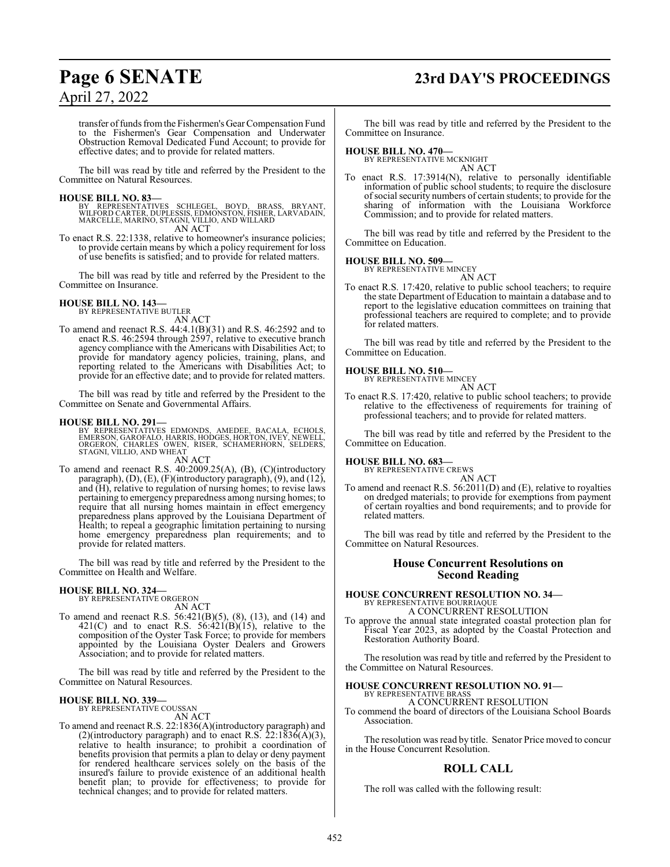## **Page 6 SENATE 23rd DAY'S PROCEEDINGS**

## April 27, 2022

transfer offunds fromthe Fishermen's Gear Compensation Fund to the Fishermen's Gear Compensation and Underwater Obstruction Removal Dedicated Fund Account; to provide for effective dates; and to provide for related matters.

The bill was read by title and referred by the President to the Committee on Natural Resources.

#### **HOUSE BILL NO. 83—**

BY REPRESENTATIVES SCHLEGEL, BOYD, BRASS, BRYANT,<br>WILFORD CARTER, DUPLESSIS, EDMONSTON, FISHER, LARVADAIN,<br>MARCELLE, MARINO, STAGNI, VILLIO, AND WILLARD<br>AN ACT

To enact R.S. 22:1338, relative to homeowner's insurance policies; to provide certain means by which a policy requirement for loss of use benefits is satisfied; and to provide for related matters.

The bill was read by title and referred by the President to the Committee on Insurance.

#### **HOUSE BILL NO. 143—**

BY REPRESENTATIVE BUTLER AN ACT

To amend and reenact R.S. 44:4.1(B)(31) and R.S. 46:2592 and to enact R.S. 46:2594 through 2597, relative to executive branch agency compliance with the Americans with Disabilities Act; to provide for mandatory agency policies, training, plans, and reporting related to the Americans with Disabilities Act; to provide for an effective date; and to provide for related matters.

The bill was read by title and referred by the President to the Committee on Senate and Governmental Affairs.

#### **HOUSE BILL NO. 291—**

BY REPRESENTATIVES EDMONDS, AMEDEE, BACALA, ECHOLS,<br>EMERSON, GAROFALO, HARRIS, HODGES, HORTON, IVEY, NEWELL,<br>ORGERON, CHARLES OWEN, RISER, SCHAMERHORN, SELDERS,<br>STAGNI, VILLIO, AND WHEAT AN ACT

To amend and reenact R.S. 40:2009.25(A), (B), (C)(introductory paragraph), (D), (E), (F)(introductory paragraph), (9), and (12), and (H), relative to regulation of nursing homes; to revise laws pertaining to emergency preparedness among nursing homes; to require that all nursing homes maintain in effect emergency preparedness plans approved by the Louisiana Department of Health; to repeal a geographic limitation pertaining to nursing home emergency preparedness plan requirements; and to provide for related matters.

The bill was read by title and referred by the President to the Committee on Health and Welfare.

#### **HOUSE BILL NO. 324—**

BY REPRESENTATIVE ORGERON AN ACT

To amend and reenact R.S. 56:421(B)(5), (8), (13), and (14) and  $421(C)$  and to enact R.S.  $56:421(B)(15)$ , relative to the composition of the Oyster Task Force; to provide for members appointed by the Louisiana Oyster Dealers and Growers Association; and to provide for related matters.

The bill was read by title and referred by the President to the Committee on Natural Resources.

## **HOUSE BILL NO. 339—** BY REPRESENTATIVE COUSSAN

AN ACT

To amend and reenact R.S. 22:1836(A)(introductory paragraph) and (2)(introductory paragraph) and to enact R.S.  $22:1836(A)(3)$ , relative to health insurance; to prohibit a coordination of benefits provision that permits a plan to delay or deny payment for rendered healthcare services solely on the basis of the insured's failure to provide existence of an additional health benefit plan; to provide for effectiveness; to provide for technical changes; and to provide for related matters.

The bill was read by title and referred by the President to the Committee on Insurance.

#### **HOUSE BILL NO. 470—**

BY REPRESENTATIVE MCKNIGHT AN ACT

To enact R.S. 17:3914(N), relative to personally identifiable information of public school students; to require the disclosure ofsocial security numbers of certain students; to provide for the sharing of information with the Louisiana Workforce Commission; and to provide for related matters.

The bill was read by title and referred by the President to the Committee on Education.

## **HOUSE BILL NO. 509—** BY REPRESENTATIVE MINCEY

AN ACT

To enact R.S. 17:420, relative to public school teachers; to require the state Department of Education to maintain a database and to report to the legislative education committees on training that professional teachers are required to complete; and to provide for related matters.

The bill was read by title and referred by the President to the Committee on Education.

## **HOUSE BILL NO. 510—** BY REPRESENTATIVE MINCEY

AN ACT To enact R.S. 17:420, relative to public school teachers; to provide relative to the effectiveness of requirements for training of professional teachers; and to provide for related matters.

The bill was read by title and referred by the President to the Committee on Education.

#### **HOUSE BILL NO. 683—**

BY REPRESENTATIVE CREWS AN ACT

To amend and reenact R.S. 56:2011(D) and (E), relative to royalties on dredged materials; to provide for exemptions from payment of certain royalties and bond requirements; and to provide for related matters.

The bill was read by title and referred by the President to the Committee on Natural Resources.

#### **House Concurrent Resolutions on Second Reading**

### **HOUSE CONCURRENT RESOLUTION NO. 34—** BY REPRESENTATIVE BOURRIAQUE A CONCURRENT RESOLUTION

To approve the annual state integrated coastal protection plan for Fiscal Year 2023, as adopted by the Coastal Protection and Restoration Authority Board.

The resolution was read by title and referred by the President to the Committee on Natural Resources.

## **HOUSE CONCURRENT RESOLUTION NO. 91—** BY REPRESENTATIVE BRASS

A CONCURRENT RESOLUTION

To commend the board of directors of the Louisiana School Boards Association.

The resolution was read by title. Senator Price moved to concur in the House Concurrent Resolution.

#### **ROLL CALL**

The roll was called with the following result: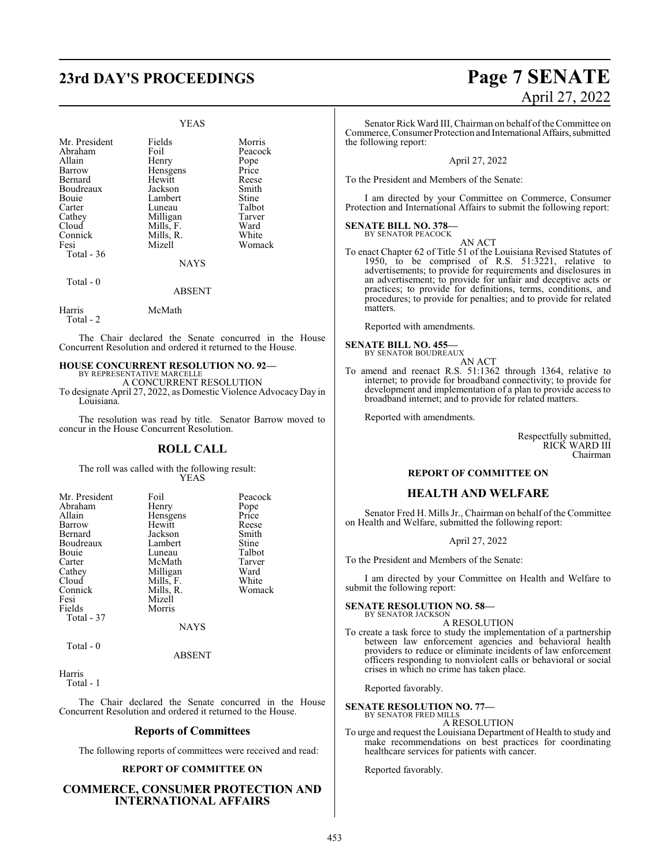## **23rd DAY'S PROCEEDINGS Page 7 SENATE**

#### YEAS

| Mr. President<br>Abraham<br>Allain<br>Barrow<br>Bernard<br>Boudreaux<br>Bouie<br>Carter<br>Cathey<br>Cloud<br>Connick<br>Fesi<br>Total $-36$ | Fields<br>Foil<br>Henry<br>Hensgens<br>Hewitt<br>Jackson<br>Lambert<br>Luneau<br>Milligan<br>Mills, F.<br>Mills, R.<br>Mizell<br><b>NAYS</b> | Morris<br>Peacock<br>Pope<br>Price<br>Reese<br>Smith<br>Stine<br>Talbot<br>Tarver<br>Ward<br>White<br>Womack |
|----------------------------------------------------------------------------------------------------------------------------------------------|----------------------------------------------------------------------------------------------------------------------------------------------|--------------------------------------------------------------------------------------------------------------|
| Total - 0                                                                                                                                    | <b>ABSENT</b>                                                                                                                                |                                                                                                              |

Harris McMath Total - 2

The Chair declared the Senate concurred in the House Concurrent Resolution and ordered it returned to the House.

#### **HOUSE CONCURRENT RESOLUTION NO. 92—** BY REPRESENTATIVE MARCELLE

A CONCURRENT RESOLUTION To designate April 27, 2022, as Domestic Violence AdvocacyDay in Louisiana.

The resolution was read by title. Senator Barrow moved to concur in the House Concurrent Resolution.

#### **ROLL CALL**

The roll was called with the following result: YEAS

| Mr. President | Foil        | Peacock |
|---------------|-------------|---------|
| Abraham       | Henry       | Pope    |
| Allain        | Hensgens    | Price   |
| Barrow        | Hewitt      | Reese   |
| Bernard       | Jackson     | Smith   |
| Boudreaux     | Lambert     | Stine   |
| <b>Bouje</b>  | Luneau      | Talbot  |
| Carter        | McMath      | Tarver  |
| Cathey        | Milligan    | Ward    |
| Cloud         | Mills, F.   | White   |
| Connick       | Mills, R.   | Womack  |
| Fesi          | Mizell      |         |
| Fields        | Morris      |         |
| Total - 37    |             |         |
|               | <b>NAYS</b> |         |

Total - 0

#### ABSENT

Harris Total - 1

The Chair declared the Senate concurred in the House Concurrent Resolution and ordered it returned to the House.

#### **Reports of Committees**

The following reports of committees were received and read:

#### **REPORT OF COMMITTEE ON**

#### **COMMERCE, CONSUMER PROTECTION AND INTERNATIONAL AFFAIRS**

# April 27, 2022

Senator Rick Ward III, Chairman on behalf ofthe Committee on Commerce, Consumer Protection and International Affairs, submitted the following report:

#### April 27, 2022

To the President and Members of the Senate:

I am directed by your Committee on Commerce, Consumer Protection and International Affairs to submit the following report:

#### **SENATE BILL NO. 378—** BY SENATOR PEACOCK

AN ACT To enact Chapter 62 of Title 51 of the Louisiana Revised Statutes of 1950, to be comprised of R.S. 51:3221, relative to advertisements; to provide for requirements and disclosures in an advertisement; to provide for unfair and deceptive acts or practices; to provide for definitions, terms, conditions, and procedures; to provide for penalties; and to provide for related matters.

Reported with amendments.

**SENATE BILL NO. 455—** BY SENATOR BOUDREAUX

AN ACT

To amend and reenact R.S. 51:1362 through 1364, relative to internet; to provide for broadband connectivity; to provide for development and implementation of a plan to provide access to broadband internet; and to provide for related matters.

Reported with amendments.

Respectfully submitted, RICK WARD III Chairman

#### **REPORT OF COMMITTEE ON**

#### **HEALTH AND WELFARE**

Senator Fred H. Mills Jr., Chairman on behalf of the Committee on Health and Welfare, submitted the following report:

#### April 27, 2022

To the President and Members of the Senate:

I am directed by your Committee on Health and Welfare to submit the following report:

#### **SENATE RESOLUTION NO. 58—**

BY SENATOR JACKSON A RESOLUTION

To create a task force to study the implementation of a partnership between law enforcement agencies and behavioral health providers to reduce or eliminate incidents of law enforcement officers responding to nonviolent calls or behavioral or social crises in which no crime has taken place.

Reported favorably.

#### **SENATE RESOLUTION NO. 77—** BY SENATOR FRED MILLS

A RESOLUTION

To urge and request the Louisiana Department of Health to study and make recommendations on best practices for coordinating healthcare services for patients with cancer.

Reported favorably.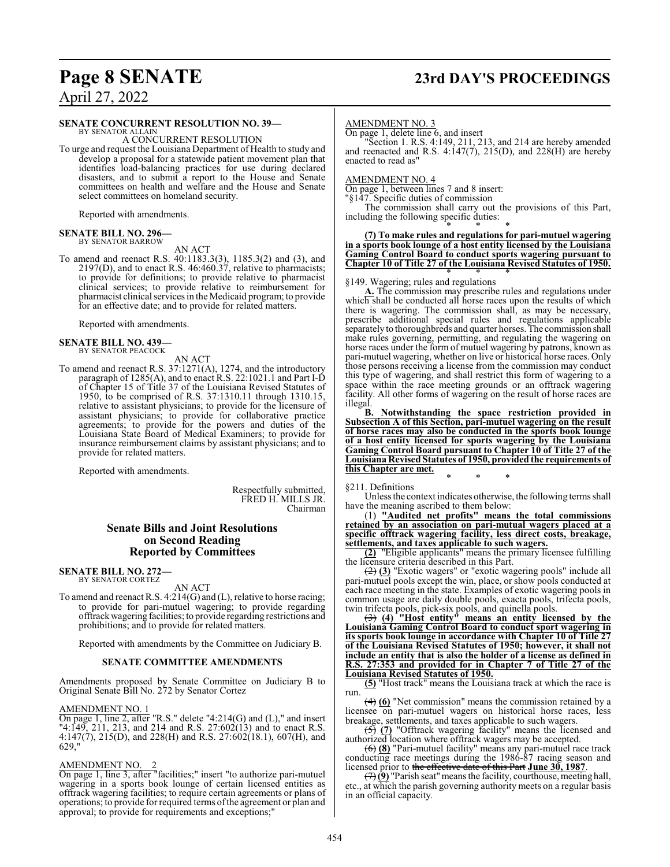## **Page 8 SENATE 23rd DAY'S PROCEEDINGS**

April 27, 2022

#### **SENATE CONCURRENT RESOLUTION NO. 39—**

BY SENATOR ALLAIN A CONCURRENT RESOLUTION

To urge and request the Louisiana Department of Health to study and develop a proposal for a statewide patient movement plan that identifies load-balancing practices for use during declared disasters, and to submit a report to the House and Senate committees on health and welfare and the House and Senate select committees on homeland security.

Reported with amendments.

#### **SENATE BILL NO. 296—** BY SENATOR BARROW

AN ACT

To amend and reenact R.S. 40:1183.3(3), 1185.3(2) and (3), and 2197(D), and to enact R.S. 46:460.37, relative to pharmacists; to provide for definitions; to provide relative to pharmacist clinical services; to provide relative to reimbursement for pharmacist clinical services in the Medicaid program; to provide for an effective date; and to provide for related matters.

Reported with amendments.

#### **SENATE BILL NO. 439—** BY SENATOR PEACOCK

AN ACT

To amend and reenact R.S. 37:1271(A), 1274, and the introductory paragraph of 1285(A), and to enact R.S. 22:1021.1 and Part I-D of Chapter 15 of Title 37 of the Louisiana Revised Statutes of 1950, to be comprised of R.S. 37:1310.11 through 1310.15, relative to assistant physicians; to provide for the licensure of assistant physicians; to provide for collaborative practice agreements; to provide for the powers and duties of the Louisiana State Board of Medical Examiners; to provide for insurance reimbursement claims by assistant physicians; and to provide for related matters.

Reported with amendments.

Respectfully submitted, FRED H. MILLS JR. Chairman

#### **Senate Bills and Joint Resolutions on Second Reading Reported by Committees**

#### **SENATE BILL NO. 272—**

BY SENATOR CORTEZ

AN ACT

To amend and reenact R.S. 4:214(G) and (L), relative to horse racing; to provide for pari-mutuel wagering; to provide regarding offtrackwagering facilities; to provide regarding restrictions and prohibitions; and to provide for related matters.

Reported with amendments by the Committee on Judiciary B.

#### **SENATE COMMITTEE AMENDMENTS**

Amendments proposed by Senate Committee on Judiciary B to Original Senate Bill No. 272 by Senator Cortez

#### AMENDMENT NO. 1

On page 1, line 2, after "R.S." delete "4:214(G) and (L)," and insert "4:149, 211, 213, and 214 and R.S. 27:602(13) and to enact R.S. 4:147(7), 215(D), and 228(H) and R.S. 27:602(18.1), 607(H), and 629,"

#### AMENDMENT NO. 2

On page 1, line 3, after "facilities;" insert "to authorize pari-mutuel wagering in a sports book lounge of certain licensed entities as offtrack wagering facilities; to require certain agreements or plans of operations; to provide for required terms ofthe agreement or plan and approval; to provide for requirements and exceptions;"

#### AMENDMENT NO. 3

On page 1, delete line 6, and insert

"Section 1. R.S. 4:149, 211, 213, and 214 are hereby amended and reenacted and R.S.  $4:147(7)$ ,  $215(D)$ , and  $228(H)$  are hereby enacted to read as"

AMENDMENT NO. 4

On page 1, between lines 7 and 8 insert:

"§147. Specific duties of commission

The commission shall carry out the provisions of this Part, including the following specific duties:

#### \* \* \* **(7) To make rules and regulations for pari-mutuel wagering in a sports book lounge of a host entity licensed by the Louisiana Gaming Control Board to conduct sports wagering pursuant to Chapter 10 of Title 27 of the Louisiana Revised Statutes of 1950.**

#### \* \* \* §149. Wagering; rules and regulations

**A.** The commission may prescribe rules and regulations under which shall be conducted all horse races upon the results of which there is wagering. The commission shall, as may be necessary, prescribe additional special rules and regulations applicable separatelyto thoroughbreds and quarter horses. The commission shall make rules governing, permitting, and regulating the wagering on horse races under the form of mutuel wagering by patrons, known as pari-mutuel wagering, whether on live or historical horse races. Only those persons receiving a license from the commission may conduct this type of wagering, and shall restrict this form of wagering to a space within the race meeting grounds or an offtrack wagering facility. All other forms of wagering on the result of horse races are illegal.

**B. Notwithstanding the space restriction provided in Subsection A of this Section, pari-mutuel wagering on the result of horse races may also be conducted in the sports book lounge of a host entity licensed for sports wagering by the Louisiana Gaming Control Board pursuant to Chapter 10 of Title 27 of the Louisiana Revised Statutes of 1950, provided the requirements of this Chapter are met.**

#### §211. Definitions

Unless the context indicates otherwise, the following terms shall have the meaning ascribed to them below:

\* \* \*

(1) **"Audited net profits" means the total commissions retained by an association on pari-mutual wagers placed at a specific offtrack wagering facility, less direct costs, breakage, settlements, and taxes applicable to such wagers.**

**(2)** "Eligible applicants" means the primary licensee fulfilling the licensure criteria described in this Part.

(2) **(3)** "Exotic wagers" or "exotic wagering pools" include all pari-mutuel pools except the win, place, or show pools conducted at each race meeting in the state. Examples of exotic wagering pools in common usage are daily double pools, exacta pools, trifecta pools, twin trifecta pools, pick-six pools, and quinella pools.

(3) **(4) "Host entity" means an entity licensed by the Louisiana Gaming Control Board to conduct sport wagering in its sports book lounge in accordance with Chapter 10 of Title 27 of the Louisiana Revised Statutes of 1950; however, it shall not include an entity that is also the holder of a license as defined in R.S. 27:353 and provided for in Chapter 7 of Title 27 of the Louisiana Revised Statutes of 1950.**

**(5)** "Host track" means the Louisiana track at which the race is run.

(4) **(6)** "Net commission" means the commission retained by a licensee on pari-mutuel wagers on historical horse races, less breakage, settlements, and taxes applicable to such wagers.

(5) **(7)** "Offtrack wagering facility" means the licensed and authorized location where offtrack wagers may be accepted.

(6) **(8)** "Pari-mutuel facility" means any pari-mutuel race track conducting race meetings during the 1986-87 racing season and licensed prior to the effective date of this Part **June 30, 1987**.

 $\left(\frac{7}{2}\right)$  "Parish seat" means the facility, courthouse, meeting hall, etc., at which the parish governing authority meets on a regular basis in an official capacity.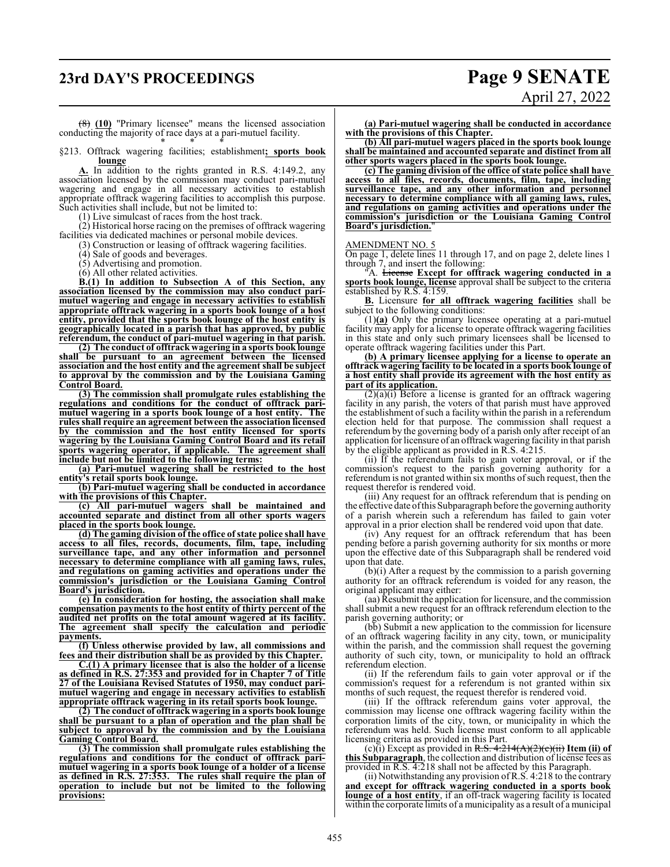## **23rd DAY'S PROCEEDINGS Page 9 SENATE**

(8) **(10)** "Primary licensee" means the licensed association conducting the majority of race days at a pari-mutuel facility. \* \* \*

§213. Offtrack wagering facilities; establishment**; sports book lounge**

**A.** In addition to the rights granted in R.S. 4:149.2, any association licensed by the commission may conduct pari-mutuel wagering and engage in all necessary activities to establish appropriate offtrack wagering facilities to accomplish this purpose. Such activities shall include, but not be limited to:

(1) Live simulcast of races from the host track.

(2) Historical horse racing on the premises of offtrack wagering facilities via dedicated machines or personal mobile devices.

(3) Construction or leasing of offtrack wagering facilities.

(4) Sale of goods and beverages.

(5) Advertising and promotion.

(6) All other related activities.

**B.(1) In addition to Subsection A of this Section, any association licensed by the commission may also conduct parimutuel wagering and engage in necessary activities to establish appropriate offtrack wagering in a sports book lounge of a host entity, provided that the sports book lounge of the host entity is geographically located in a parish that has approved, by public referendum, the conduct of pari-mutuel wagering in that parish.**

**(2) The conduct of offtrack wagering in a sports book lounge shall be pursuant to an agreement between the licensed association and the host entity and the agreement shall be subject to approval by the commission and by the Louisiana Gaming Control Board.**

**(3) The commission shall promulgate rules establishing the regulations and conditions for the conduct of offtrack parimutuel wagering in a sports book lounge of a host entity. The rules shall require an agreement between the association licensed by the commission and the host entity licensed for sports wagering by the Louisiana Gaming Control Board and its retail sports wagering operator, if applicable. The agreement shall include but not be limited to the following terms:**

**(a) Pari-mutuel wagering shall be restricted to the host entity's retail sports book lounge.**

**(b) Pari-mutuel wagering shall be conducted in accordance with the provisions of this Chapter.**

**(c) All pari-mutuel wagers shall be maintained and accounted separate and distinct from all other sports wagers placed in the sports book lounge.**

**(d) The gaming division of the office of state police shall have access to all files, records, documents, film, tape, including surveillance tape, and any other information and personnel necessary to determine compliance with all gaming laws, rules, and regulations on gaming activities and operations under the commission's jurisdiction or the Louisiana Gaming Control Board's jurisdiction.**

**(e) In consideration for hosting, the association shall make compensation payments to the host entity of thirty percent of the audited net profits on the total amount wagered at its facility. The agreement shall specify the calculation and periodic payments.**

**(f) Unless otherwise provided by law, all commissions and fees and their distribution shall be as provided by this Chapter.**

**C.(1) A primary licensee that is also the holder of a license as defined in R.S. 27:353 and provided for in Chapter 7 of Title 27 of the Louisiana Revised Statutes of 1950, may conduct parimutuel wagering and engage in necessary activities to establish appropriate offtrack wagering in its retail sports book lounge.**

**(2) The conduct of offtrack wagering in a sports book lounge shall be pursuant to a plan of operation and the plan shall be subject to approval by the commission and by the Louisiana Gaming Control Board.**

**(3) The commission shall promulgate rules establishing the regulations and conditions for the conduct of offtrack parimutuel wagering in a sports book lounge of a holder of a license as defined in R.S. 27:353. The rules shall require the plan of operation to include but not be limited to the following provisions:**

**(a) Pari-mutuel wagering shall be conducted in accordance with the provisions of this Chapter.**

**(b) All pari-mutuel wagers placed in the sports book lounge shall be maintained and accounted separate and distinct from all other sports wagers placed in the sports book lounge.**

**(c) The gaming division of the office of state police shall have access to all files, records, documents, film, tape, including surveillance tape, and any other information and personnel necessary to determine compliance with all gaming laws, rules, and regulations on gaming activities and operations under the commission's jurisdiction or the Louisiana Gaming Control Board's jurisdiction.**"

#### AMENDMENT NO. 5

On page 1, delete lines 11 through 17, and on page 2, delete lines 1 through 7, and insert the following:

"A. License **Except for offtrack wagering conducted in a sports book lounge, license** approval shall be subject to the criteria established by R.S. 4:159.

**B.** Licensure **for all offtrack wagering facilities** shall be subject to the following conditions:

(1)**(a)** Only the primary licensee operating at a pari-mutuel facility may apply for a license to operate offtrack wagering facilities in this state and only such primary licensees shall be licensed to operate offtrack wagering facilities under this Part.

**(b) A primary licensee applying for a license to operate an offtrack wagering facility to be located in a sports book lounge of a host entity shall provide its agreement with the host entity as part of its application.**

 $(2)(a)(i)$  Before a license is granted for an offtrack wagering facility in any parish, the voters of that parish must have approved the establishment of such a facility within the parish in a referendum election held for that purpose. The commission shall request a referendum by the governing body of a parish only after receipt of an application for licensure of an offtrack wagering facility in that parish by the eligible applicant as provided in R.S. 4:215.

(ii) If the referendum fails to gain voter approval, or if the commission's request to the parish governing authority for a referendum is not granted within six months of such request, then the request therefor is rendered void.

(iii) Any request for an offtrack referendum that is pending on the effective date ofthis Subparagraph before the governing authority of a parish wherein such a referendum has failed to gain voter approval in a prior election shall be rendered void upon that date.

(iv) Any request for an offtrack referendum that has been pending before a parish governing authority for six months or more upon the effective date of this Subparagraph shall be rendered void upon that date.

(b)(i) After a request by the commission to a parish governing authority for an offtrack referendum is voided for any reason, the original applicant may either:

(aa) Resubmit the application for licensure, and the commission shall submit a new request for an offtrack referendum election to the parish governing authority; or

(bb) Submit a new application to the commission for licensure of an offtrack wagering facility in any city, town, or municipality within the parish, and the commission shall request the governing authority of such city, town, or municipality to hold an offtrack referendum election.

(ii) If the referendum fails to gain voter approval or if the commission's request for a referendum is not granted within six months of such request, the request therefor is rendered void.

(iii) If the offtrack referendum gains voter approval, the commission may license one offtrack wagering facility within the corporation limits of the city, town, or municipality in which the referendum was held. Such license must conform to all applicable licensing criteria as provided in this Part.

(c) $(i)$  Except as provided in R.S.  $4:214(A)(2)(e)(ii)$  **Item (ii) of this Subparagraph**, the collection and distribution of license fees as provided in R.S. 4:218 shall not be affected by this Paragraph.

(ii) Notwithstanding any provision of R.S. 4:218 to the contrary **and except for offtrack wagering conducted in a sports book lounge of a host entity**, if an off-track wagering facility is located within the corporate limits of a municipality as a result of a municipal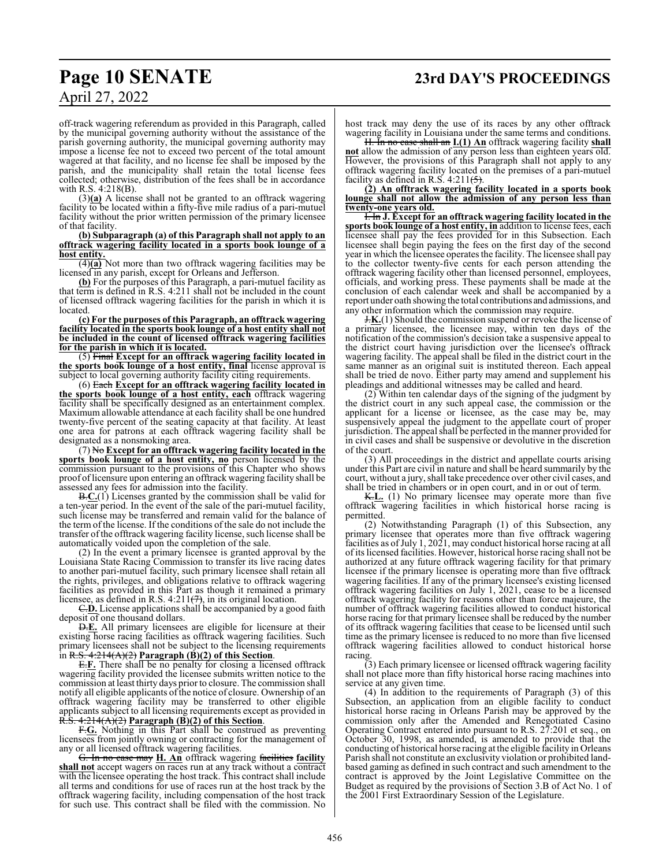## **Page 10 SENATE 23rd DAY'S PROCEEDINGS**

April 27, 2022

off-track wagering referendum as provided in this Paragraph, called by the municipal governing authority without the assistance of the parish governing authority, the municipal governing authority may impose a license fee not to exceed two percent of the total amount wagered at that facility, and no license fee shall be imposed by the parish, and the municipality shall retain the total license fees collected; otherwise, distribution of the fees shall be in accordance with R.S. 4:218(B).

(3)**(a)** A license shall not be granted to an offtrack wagering facility to be located within a fifty-five mile radius of a pari-mutuel facility without the prior written permission of the primary licensee of that facility.

**(b) Subparagraph (a) of this Paragraph shall not apply to an offtrack wagering facility located in a sports book lounge of a host entity.**

(4)**(a)** Not more than two offtrack wagering facilities may be licensed in any parish, except for Orleans and Jefferson.

**(b)** For the purposes of this Paragraph, a pari-mutuel facility as that term is defined in R.S. 4:211 shall not be included in the count of licensed offtrack wagering facilities for the parish in which it is located.

**(c) For the purposes of this Paragraph, an offtrack wagering facility located in the sports book lounge of a host entity shall not be included in the count of licensed offtrack wagering facilities for the parish in which it is located.**

(5) Final **Except for an offtrack wagering facility located in the sports book lounge of a host entity, final** license approval is subject to local governing authority facility citing requirements.

(6) Each **Except for an offtrack wagering facility located in the sports book lounge of a host entity, each** offtrack wagering facility shall be specifically designed as an entertainment complex. Maximum allowable attendance at each facility shall be one hundred twenty-five percent of the seating capacity at that facility. At least one area for patrons at each offtrack wagering facility shall be designated as a nonsmoking area.

(7) No **Except for an offtrack wagering facility located in the sports book lounge of a host entity, no** person licensed by the commission pursuant to the provisions of this Chapter who shows proof oflicensure upon entering an offtrack wagering facility shall be assessed any fees for admission into the facility.

B.**C.**(1) Licenses granted by the commission shall be valid for a ten-year period. In the event of the sale of the pari-mutuel facility, such license may be transferred and remain valid for the balance of the term of the license. If the conditions of the sale do not include the transfer of the offtrack wagering facility license, such license shall be automatically voided upon the completion of the sale.

(2) In the event a primary licensee is granted approval by the Louisiana State Racing Commission to transfer its live racing dates to another pari-mutuel facility, such primary licensee shall retain all the rights, privileges, and obligations relative to offtrack wagering facilities as provided in this Part as though it remained a primary licensee, as defined in R.S.  $4:211(\frac{7}{7})$ , in its original location.

C.**D.** License applications shall be accompanied by a good faith deposit of one thousand dollars.

D.**E.** All primary licensees are eligible for licensure at their existing horse racing facilities as offtrack wagering facilities. Such primary licensees shall not be subject to the licensing requirements in R.S. 4:214(A)(2) **Paragraph (B)(2) of this Section**.

E.**F.** There shall be no penalty for closing a licensed offtrack wagering facility provided the licensee submits written notice to the commission at least thirty days priorto closure. The commission shall notify all eligible applicants of the notice of closure. Ownership of an offtrack wagering facility may be transferred to other eligible applicants subject to all licensing requirements except as provided in R.S. 4:214(A)(2) **Paragraph (B)(2) of this Section**.

F.**G.** Nothing in this Part shall be construed as preventing licensees from jointly owning or contracting for the management of any or all licensed offtrack wagering facilities.

G. In no case may **H. An** offtrack wagering facilities **facility shall not** accept wagers on races run at any track without a contract with the licensee operating the host track. This contract shall include all terms and conditions for use of races run at the host track by the offtrack wagering facility, including compensation of the host track for such use. This contract shall be filed with the commission. No

host track may deny the use of its races by any other offtrack wagering facility in Louisiana under the same terms and conditions.

H. In no case shall an **I.(1) An** offtrack wagering facility **shall not** allow the admission of any person less than eighteen years old. However, the provisions of this Paragraph shall not apply to any offtrack wagering facility located on the premises of a pari-mutuel facility as defined in R.S. 4:211(5).

**(2) An offtrack wagering facility located in a sports book lounge shall not allow the admission of any person less than twenty-one years old.**

I. In **J. Except for an offtrack wagering facility located in the sports book lounge of a host entity, in** addition to license fees, each licensee shall pay the fees provided for in this Subsection. Each licensee shall begin paying the fees on the first day of the second year in which the licensee operates the facility. The licensee shall pay to the collector twenty-five cents for each person attending the offtrack wagering facility other than licensed personnel, employees, officials, and working press. These payments shall be made at the conclusion of each calendar week and shall be accompanied by a report under oath showing the total contributions and admissions, and any other information which the commission may require.

J.**K.**(1) Should the commission suspend or revoke the license of a primary licensee, the licensee may, within ten days of the notification of the commission's decision take a suspensive appeal to the district court having jurisdiction over the licensee's offtrack wagering facility. The appeal shall be filed in the district court in the same manner as an original suit is instituted thereon. Each appeal shall be tried de novo. Either party may amend and supplement his pleadings and additional witnesses may be called and heard.

(2) Within ten calendar days of the signing of the judgment by the district court in any such appeal case, the commission or the applicant for a license or licensee, as the case may be, may suspensively appeal the judgment to the appellate court of proper jurisdiction. The appeal shall be perfected in the manner provided for in civil cases and shall be suspensive or devolutive in the discretion of the court.

(3) All proceedings in the district and appellate courts arising under this Part are civil in nature and shall be heard summarily by the court, without a jury, shall take precedence over other civil cases, and shall be tried in chambers or in open court, and in or out of term.

K.**L.** (1) No primary licensee may operate more than five offtrack wagering facilities in which historical horse racing is permitted.

(2) Notwithstanding Paragraph (1) of this Subsection, any primary licensee that operates more than five offtrack wagering facilities as of July 1, 2021, may conduct historical horse racing at all of its licensed facilities. However, historical horse racing shall not be authorized at any future offtrack wagering facility for that primary licensee if the primary licensee is operating more than five offtrack wagering facilities. If any of the primary licensee's existing licensed offtrack wagering facilities on July 1, 2021, cease to be a licensed offtrack wagering facility for reasons other than force majeure, the number of offtrack wagering facilities allowed to conduct historical horse racing for that primary licensee shall be reduced by the number of its offtrack wagering facilities that cease to be licensed until such time as the primary licensee is reduced to no more than five licensed offtrack wagering facilities allowed to conduct historical horse racing

(3) Each primary licensee or licensed offtrack wagering facility shall not place more than fifty historical horse racing machines into service at any given time.

(4) In addition to the requirements of Paragraph (3) of this Subsection, an application from an eligible facility to conduct historical horse racing in Orleans Parish may be approved by the commission only after the Amended and Renegotiated Casino Operating Contract entered into pursuant to R.S. 27:201 et seq., on October 30, 1998, as amended, is amended to provide that the conducting of historical horse racing at the eligible facility in Orleans Parish shall not constitute an exclusivity violation or prohibited landbased gaming as defined in such contract and such amendment to the contract is approved by the Joint Legislative Committee on the Budget as required by the provisions of Section 3.B of Act No. 1 of the 2001 First Extraordinary Session of the Legislature.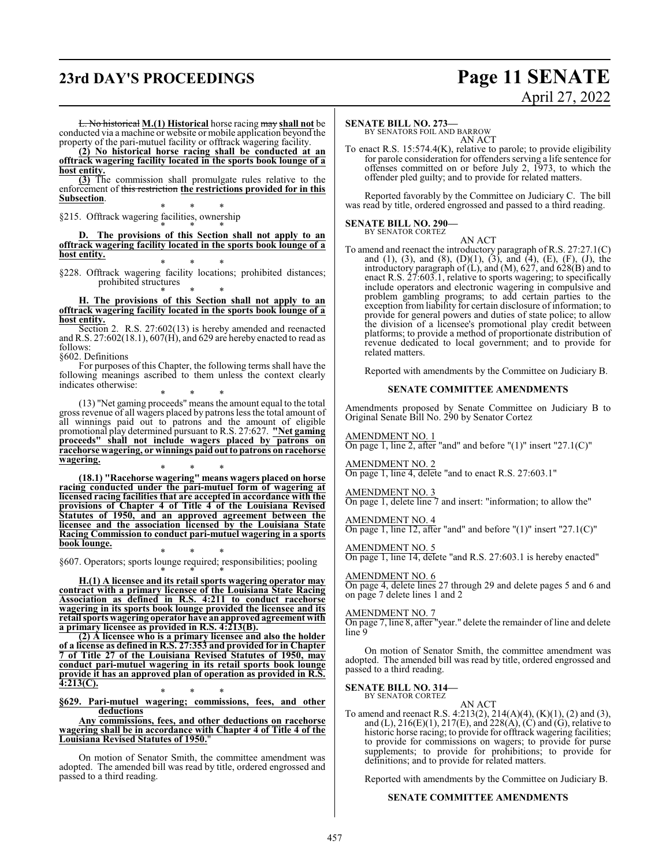## **23rd DAY'S PROCEEDINGS Page 11 SENATE**

# April 27, 2022

L. No historical **M.(1) Historical** horse racing may **shall not** be conducted via a machine or website or mobile application beyond the property of the pari-mutuel facility or offtrack wagering facility.

**(2) No historical horse racing shall be conducted at an offtrack wagering facility located in the sports book lounge of a host entity.**

**(3)** The commission shall promulgate rules relative to the enforcement of this restriction **the restrictions provided for in this Subsection**. \* \* \*

§215. Offtrack wagering facilities, ownership

\* \* \* **D. The provisions of this Section shall not apply to an offtrack wagering facility located in the sports book lounge of a host entity.**

\* \* \* §228. Offtrack wagering facility locations; prohibited distances; prohibited structures

\* \* \* **H. The provisions of this Section shall not apply to an offtrack wagering facility located in the sports book lounge of a host entity.**

Section 2. R.S. 27:602(13) is hereby amended and reenacted and R.S. 27:602(18.1), 607(H), and 629 are hereby enacted to read as follows:

§602. Definitions

For purposes of this Chapter, the following terms shall have the following meanings ascribed to them unless the context clearly indicates otherwise:

\* \* \* (13) "Net gaming proceeds" means the amount equal to the total gross revenue of all wagers placed by patrons less the total amount of all winnings paid out to patrons and the amount of eligible promotional play determined pursuant to R.S. 27:627. **"Net gaming proceeds" shall not include wagers placed by patrons on racehorse wagering, or winnings paid outto patrons on racehorse wagering.**

\* \* \* **(18.1) "Racehorse wagering" means wagers placed on horse racing conducted under the pari-mutuel form of wagering at licensed racing facilities that are accepted in accordance with the provisions of Chapter 4 of Title 4 of the Louisiana Revised Statutes of 1950, and an approved agreement between the licensee and the association licensed by the Louisiana State Racing Commission to conduct pari-mutuel wagering in a sports book lounge.**

\* \* \* §607. Operators; sports lounge required; responsibilities; pooling

\* \* \* **H.(1) A licensee and its retail sports wagering operator may contract with a primary licensee of the Louisiana State Racing Association as defined in R.S. 4:211 to conduct racehorse wagering in its sports book lounge provided the licensee and its retail sports wagering operator have anapproved agreement with a primary licensee as provided in R.S. 4:213(B).**

**(2) A licensee who is a primary licensee and also the holder of a license as defined in R.S. 27:353 and provided for in Chapter 7 of Title 27 of the Louisiana Revised Statutes of 1950, may conduct pari-mutuel wagering in its retail sports book lounge provide it has an approved plan of operation as provided in R.S. 4:213(C).**

\* \* \* **§629. Pari-mutuel wagering; commissions, fees, and other deductions**

**Any commissions, fees, and other deductions on racehorse wagering shall be in accordance with Chapter 4 of Title 4 of the Louisiana Revised Statutes of 1950.**"

On motion of Senator Smith, the committee amendment was adopted. The amended bill was read by title, ordered engrossed and passed to a third reading.

#### **SENATE BILL NO. 273—**

BY SENATORS FOIL AND BARROW AN ACT

To enact R.S. 15:574.4(K), relative to parole; to provide eligibility for parole consideration for offenders serving a life sentence for offenses committed on or before July 2, 1973, to which the offender pled guilty; and to provide for related matters.

Reported favorably by the Committee on Judiciary C. The bill was read by title, ordered engrossed and passed to a third reading.

#### **SENATE BILL NO. 290—** BY SENATOR CORTEZ

AN ACT To amend and reenact the introductory paragraph of R.S. 27:27.1(C) and (1), (3), and (8), (D)(1), (3), and (4), (E), (F), (J), the introductory paragraph of (L), and (M), 627, and 628(B) and to enact R.S. 27:603.1, relative to sports wagering; to specifically include operators and electronic wagering in compulsive and problem gambling programs; to add certain parties to the exception from liability for certain disclosure of information; to provide for general powers and duties of state police; to allow the division of a licensee's promotional play credit between platforms; to provide a method of proportionate distribution of revenue dedicated to local government; and to provide for related matters.

Reported with amendments by the Committee on Judiciary B.

#### **SENATE COMMITTEE AMENDMENTS**

Amendments proposed by Senate Committee on Judiciary B to Original Senate Bill No. 290 by Senator Cortez

AMENDMENT NO. 1

On page 1, line 2, after "and" and before "(1)" insert "27.1(C)"

AMENDMENT NO. 2 On page 1, line 4, delete "and to enact R.S. 27:603.1"

#### AMENDMENT NO. 3

On page 1, delete line 7 and insert: "information; to allow the"

#### AMENDMENT NO. 4

On page 1, line 12, after "and" and before " $(1)$ " insert "27.1 $(C)$ "

#### AMENDMENT NO. 5

On page 1, line 14, delete "and R.S. 27:603.1 is hereby enacted"

#### AMENDMENT NO. 6

On page 4, delete lines 27 through 29 and delete pages 5 and 6 and on page 7 delete lines 1 and 2

### AMENDMENT NO. 7

On page 7, line 8, after "year." delete the remainder of line and delete line 9

On motion of Senator Smith, the committee amendment was adopted. The amended bill was read by title, ordered engrossed and passed to a third reading.

#### **SENATE BILL NO. 314—** BY SENATOR CORTEZ

AN ACT

To amend and reenact R.S. 4:213(2), 214(A)(4), (K)(1), (2) and (3), and (L), 216(E)(1), 217(E), and 228(A), (C) and (G), relative to historic horse racing; to provide for offtrack wagering facilities; to provide for commissions on wagers; to provide for purse supplements; to provide for prohibitions; to provide for definitions; and to provide for related matters.

Reported with amendments by the Committee on Judiciary B.

#### **SENATE COMMITTEE AMENDMENTS**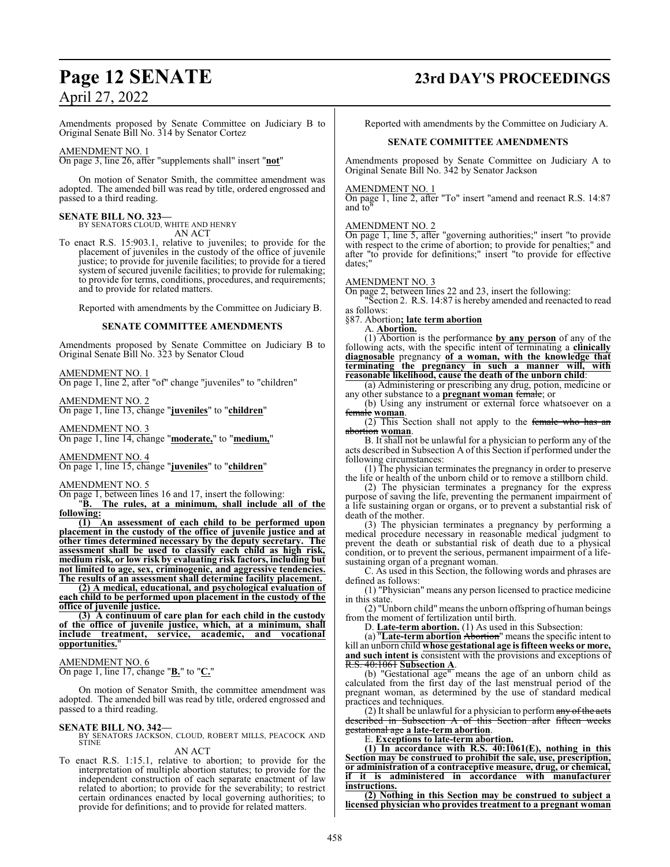Amendments proposed by Senate Committee on Judiciary B to Original Senate Bill No. 314 by Senator Cortez

#### AMENDMENT NO. 1

On page 3, line 26, after "supplements shall" insert "**not**"

On motion of Senator Smith, the committee amendment was adopted. The amended bill was read by title, ordered engrossed and passed to a third reading.

#### **SENATE BILL NO. 323—**

BY SENATORS CLOUD, WHITE AND HENRY AN ACT

To enact R.S. 15:903.1, relative to juveniles; to provide for the placement of juveniles in the custody of the office of juvenile justice; to provide for juvenile facilities; to provide for a tiered system of secured juvenile facilities; to provide for rulemaking; to provide for terms, conditions, procedures, and requirements; and to provide for related matters.

Reported with amendments by the Committee on Judiciary B.

#### **SENATE COMMITTEE AMENDMENTS**

Amendments proposed by Senate Committee on Judiciary B to Original Senate Bill No. 323 by Senator Cloud

#### AMENDMENT NO. 1

On page 1, line 2, after "of" change "juveniles" to "children"

AMENDMENT NO. 2

On page 1, line 13, change "**juveniles**" to "**children**"

#### AMENDMENT NO. 3

On page 1, line 14, change "**moderate,**" to "**medium,**"

AMENDMENT NO. 4 On page 1, line 15, change "**juveniles**" to "**children**"

#### AMENDMENT NO. 5

On page 1, between lines 16 and 17, insert the following:

"**B. The rules, at a minimum, shall include all of the following:**

**(1) An assessment of each child to be performed upon placement in the custody of the office of juvenile justice and at other times determined necessary by the deputy secretary. The assessment shall be used to classify each child as high risk, medium risk, or low risk by evaluating risk factors, including but not limited to age, sex, criminogenic, and aggressive tendencies. The results of an assessment shall determine facility placement.**

**(2) A medical, educational, and psychological evaluation of each child to be performed upon placement in the custody of the office of juvenile justice.**

**(3) A continuum of care plan for each child in the custody of the office of juvenile justice, which, at a minimum, shall include treatment, service, academic, and vocational opportunities.**"

#### AMENDMENT NO. 6

On page 1, line 17, change "**B.**" to "**C.**"

On motion of Senator Smith, the committee amendment was adopted. The amended bill was read by title, ordered engrossed and passed to a third reading.

#### **SENATE BILL NO. 342—**

BY SENATORS JACKSON, CLOUD, ROBERT MILLS, PEACOCK AND **STINE** 

#### AN ACT

To enact R.S. 1:15.1, relative to abortion; to provide for the interpretation of multiple abortion statutes; to provide for the independent construction of each separate enactment of law related to abortion; to provide for the severability; to restrict certain ordinances enacted by local governing authorities; to provide for definitions; and to provide for related matters.

## **Page 12 SENATE 23rd DAY'S PROCEEDINGS**

Reported with amendments by the Committee on Judiciary A.

#### **SENATE COMMITTEE AMENDMENTS**

Amendments proposed by Senate Committee on Judiciary A to Original Senate Bill No. 342 by Senator Jackson

#### AMENDMENT NO. 1

On page 1, line 2, after "To" insert "amend and reenact R.S. 14:87 and to"

#### AMENDMENT NO. 2

On page 1, line 5, after "governing authorities;" insert "to provide with respect to the crime of abortion; to provide for penalties;" and after "to provide for definitions;" insert "to provide for effective dates;"

#### AMENDMENT NO. 3

On page 2, between lines 22 and 23, insert the following:

"Section 2. R.S. 14:87 is hereby amended and reenacted to read as follows:

§87. Abortion**; late term abortion**

A. **Abortion.**

(1) Abortion is the performance **by any person** of any of the following acts, with the specific intent of terminating a **clinically diagnosable** pregnancy **of a woman, with the knowledge that terminating the pregnancy in such a manner will, with reasonable likelihood, cause the death of the unborn child**:

(a) Administering or prescribing any drug, potion, medicine or any other substance to a **pregnant woman** female; or

(b) Using any instrument or external force whatsoever on a female **woman**.

 $(2)$  This Section shall not apply to the female who has an abortion **woman**.

B. It shall not be unlawful for a physician to perform any of the acts described in Subsection A of this Section if performed under the following circumstances:

(1) The physician terminates the pregnancy in order to preserve the life or health of the unborn child or to remove a stillborn child.

(2) The physician terminates a pregnancy for the express purpose of saving the life, preventing the permanent impairment of a life sustaining organ or organs, or to prevent a substantial risk of death of the mother.

(3) The physician terminates a pregnancy by performing a medical procedure necessary in reasonable medical judgment to prevent the death or substantial risk of death due to a physical condition, or to prevent the serious, permanent impairment of a lifesustaining organ of a pregnant woman.

C. As used in this Section, the following words and phrases are defined as follows:

(1) "Physician" means any person licensed to practice medicine in this state.

(2) "Unborn child" means the unborn offspring of human beings from the moment of fertilization until birth.

D. **Late-term abortion.** (1) As used in this Subsection:

(a) "**Late-term abortion** Abortion" means the specific intent to kill an unborn child **whose gestational age is fifteen weeks or more, and such intent is** consistent with the provisions and exceptions of R.S. 40:1061 **Subsection A**.

(b) "Gestational age" means the age of an unborn child as calculated from the first day of the last menstrual period of the pregnant woman, as determined by the use of standard medical practices and techniques.

(2) It shall be unlawful for a physician to perform  $\frac{any}{and}$  the acts described in Subsection A of this Section after fifteen weeks gestational age **a late-term abortion**.

E. **Exceptions to late-term abortion.**

**(1) In accordance with R.S. 40:1061(E), nothing in this Section may be construed to prohibit the sale, use, prescription, or administration of a contraceptive measure, drug, or chemical, if it is administered in accordance with manufacturer instructions.**

**(2) Nothing in this Section may be construed to subject a licensed physician who provides treatment to a pregnant woman**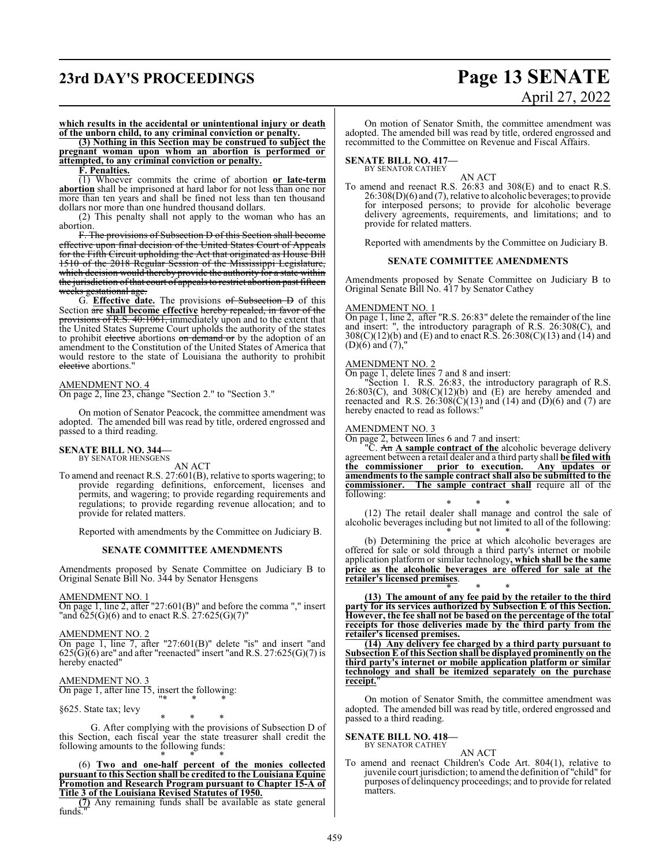## **23rd DAY'S PROCEEDINGS Page 13 SENATE**

# April 27, 2022

**which results in the accidental or unintentional injury or death of the unborn child, to any criminal conviction or penalty.**

**(3) Nothing in this Section may be construed to subject the pregnant woman upon whom an abortion is performed or attempted, to any criminal conviction or penalty.**

#### **F. Penalties.**

(1) Whoever commits the crime of abortion **or late-term abortion** shall be imprisoned at hard labor for not less than one nor more than ten years and shall be fined not less than ten thousand dollars nor more than one hundred thousand dollars.

(2) This penalty shall not apply to the woman who has an abortion.

F. The provisions of Subsection D of this Section shall become effective upon final decision of the United States Court of Appeals for the Fifth Circuit upholding the Act that originated as House Bill 1510 of the 2018 Regular Session of the Mississippi Legislature, which decision would thereby provide the authority for a state within the jurisdiction of that court of appeals to restrict abortion past fifteen weeks gestational age

G. **Effective date.** The provisions of Subsection D of this Section are **shall become effective** hereby repealed, in favor of the provisions of R.S. 40:1061, immediately upon and to the extent that the United States Supreme Court upholds the authority of the states to prohibit elective abortions on demand or by the adoption of an amendment to the Constitution of the United States of America that would restore to the state of Louisiana the authority to prohibit elective abortions."

#### AMENDMENT NO. 4

On page 2, line 23, change "Section 2." to "Section 3."

On motion of Senator Peacock, the committee amendment was adopted. The amended bill was read by title, ordered engrossed and passed to a third reading.

#### **SENATE BILL NO. 344—** BY SENATOR HENSGENS

AN ACT

To amend and reenact R.S. 27:601(B), relative to sports wagering; to provide regarding definitions, enforcement, licenses and permits, and wagering; to provide regarding requirements and regulations; to provide regarding revenue allocation; and to provide for related matters.

Reported with amendments by the Committee on Judiciary B.

#### **SENATE COMMITTEE AMENDMENTS**

Amendments proposed by Senate Committee on Judiciary B to Original Senate Bill No. 344 by Senator Hensgens

#### AMENDMENT NO. 1

 $\overline{On}$  page 1, line 2, after "27:601(B)" and before the comma "," insert "and  $625(G)(6)$  and to enact R.S.  $27:625(G)(7)$ "

#### AMENDMENT NO. 2

On page 1, line 7, after "27:601(B)" delete "is" and insert "and  $625(\overline{G})(6)$  are" and after "reenacted" insert "and R.S. 27:625(G)(7) is hereby enacted"

#### AMENDMENT NO. 3

On page 1, after line 15, insert the following: "\* \* \*

§625. State tax; levy

\* \* \* G. After complying with the provisions of Subsection D of this Section, each fiscal year the state treasurer shall credit the following amounts to the following funds: \* \* \*

(6) **Two and one-half percent of the monies collected pursuant to this Section shall be credited to the Louisiana Equine Promotion and Research Program pursuant to Chapter 15-A of Title 3 of the Louisiana Revised Statutes of 1950.**

**(7)** Any remaining funds shall be available as state general funds.

On motion of Senator Smith, the committee amendment was adopted. The amended bill was read by title, ordered engrossed and recommitted to the Committee on Revenue and Fiscal Affairs.

#### **SENATE BILL NO. 417—** BY SENATOR CATHEY

AN ACT

To amend and reenact R.S. 26:83 and 308(E) and to enact R.S. 26:308(D)(6) and (7), relative to alcoholic beverages; to provide for interposed persons; to provide for alcoholic beverage delivery agreements, requirements, and limitations; and to provide for related matters.

Reported with amendments by the Committee on Judiciary B.

#### **SENATE COMMITTEE AMENDMENTS**

Amendments proposed by Senate Committee on Judiciary B to Original Senate Bill No. 417 by Senator Cathey

#### AMENDMENT NO. 1

On page 1, line 2, after "R.S. 26:83" delete the remainder of the line and insert: ", the introductory paragraph of R.S. 26:308(C), and  $308(C)(12)(b)$  and (E) and to enact R.S.  $26:308(C)(13)$  and (14) and  $(D)(6)$  and  $(7)$ ,"

#### AMENDMENT NO. 2

On page 1, delete lines 7 and 8 and insert:

"Section 1. R.S. 26:83, the introductory paragraph of R.S.  $26:803(C)$ , and  $308(C)(12)(b)$  and  $(E)$  are hereby amended and reenacted and R.S.  $26:308(\tilde{C})(13)$  and  $(14)$  and  $(\tilde{D})(6)$  and  $(7)$  are hereby enacted to read as follows:"

#### AMENDMENT NO. 3

On page 2, between lines 6 and 7 and insert:

"C. An **A sample contract of the** alcoholic beverage delivery agreement between a retail dealer and a third party shall **be filed with the commissioner prior to execution. Any updates or amendments to the sample contract shall also be submitted to the** The sample contract shall require all of the following:

\* \* \* (12) The retail dealer shall manage and control the sale of alcoholic beverages including but not limited to all of the following: \* \* \*

(b) Determining the price at which alcoholic beverages are offered for sale or sold through a third party's internet or mobile application platform or similar technology**, which shall be the same price as the alcoholic beverages are offered for sale at the retailer's licensed premises**.

\* \* \* **(13) The amount of any fee paid by the retailer to the third party for its services authorized by Subsection E of this Section. However, the fee shall not be based on the percentage of the total receipts for those deliveries made by the third party from the retailer's licensed premises.**

**(14) Any delivery fee charged by a third party pursuant to SubsectionE of this Section shall be displayed prominently on the third party's internet or mobile application platform or similar technology and shall be itemized separately on the purchase receipt.**"

On motion of Senator Smith, the committee amendment was adopted. The amended bill was read by title, ordered engrossed and passed to a third reading.

#### **SENATE BILL NO. 418—**

BY SENATOR CATHEY AN ACT

To amend and reenact Children's Code Art. 804(1), relative to juvenile court jurisdiction; to amend the definition of "child" for purposes of delinquency proceedings; and to provide for related matters.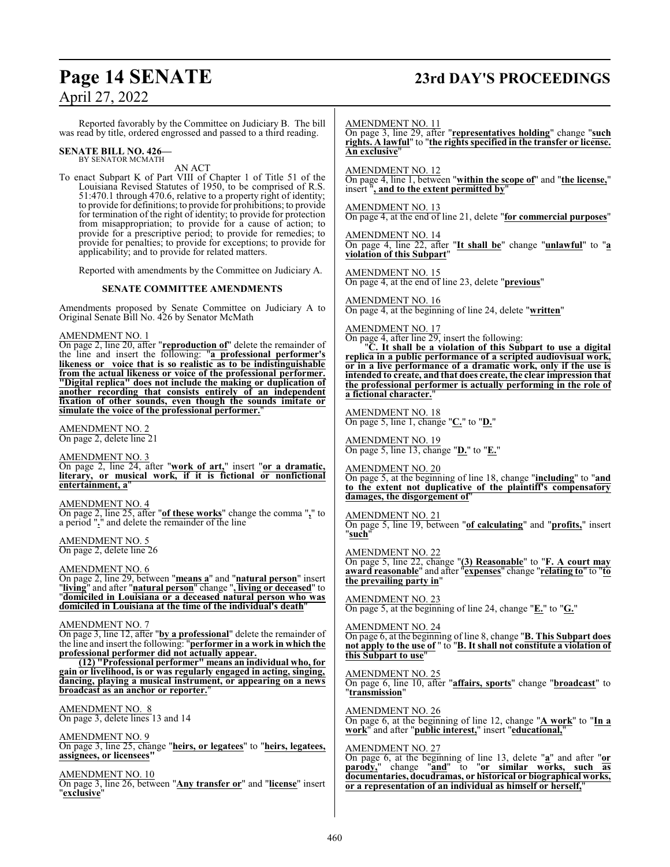## **Page 14 SENATE 23rd DAY'S PROCEEDINGS**

April 27, 2022

Reported favorably by the Committee on Judiciary B. The bill was read by title, ordered engrossed and passed to a third reading.

#### **SENATE BILL NO. 426—** BY SENATOR MCMATH

AN ACT

To enact Subpart K of Part VIII of Chapter 1 of Title 51 of the Louisiana Revised Statutes of 1950, to be comprised of R.S. 51:470.1 through 470.6, relative to a property right of identity; to provide for definitions; to provide for prohibitions; to provide for termination of the right of identity; to provide for protection from misappropriation; to provide for a cause of action; to provide for a prescriptive period; to provide for remedies; to provide for penalties; to provide for exceptions; to provide for applicability; and to provide for related matters.

Reported with amendments by the Committee on Judiciary A.

#### **SENATE COMMITTEE AMENDMENTS**

Amendments proposed by Senate Committee on Judiciary A to Original Senate Bill No. 426 by Senator McMath

#### AMENDMENT NO. 1

On page 2, line 20, after "**reproduction of**" delete the remainder of the line and insert the following: "**a professional performer's likeness or voice that is so realistic as to be indistinguishable from the actual likeness or voice of the professional performer. "Digital replica" does not include the making or duplication of another recording that consists entirely of an independent fixation of other sounds, even though the sounds imitate or simulate the voice of the professional performer.**"

AMENDMENT NO. 2 On page 2, delete line 21

AMENDMENT NO. 3

On page 2, line 24, after "**work of art,**" insert "**or a dramatic, literary, or musical work, if it is fictional or nonfictional entertainment, a**"

AMENDMENT NO. 4 On page 2, line 25, after "**of these works**" change the comma "**,**" to a period "**.**" and delete the remainder of the line

AMENDMENT NO. 5 On page 2, delete line 26

#### AMENDMENT NO. 6

On page 2, line 29, between "**means a**" and "**natural person**" insert "**living**" and after "**natural person**" change "**, living or deceased**" to "**domiciled in Louisiana or a deceased natural person who was domiciled in Louisiana at the time of the individual's death**"

#### AMENDMENT NO. 7

On page 3, line 12, after "**by a professional**" delete the remainder of the line and insert the following: "**performer in a work in which the professional performer did not actually appear.**

**(12) "Professional performer" means an individual who, for gain or livelihood, is or was regularly engaged in acting, singing, dancing, playing a musical instrument, or appearing on a news broadcast as an anchor or reporter.**"

AMENDMENT NO. 8 On page 3, delete lines 13 and 14

AMENDMENT NO. 9 On page 3, line 25, change "**heirs, or legatees**" to "**heirs, legatees, assignees, or licensees"**

AMENDMENT NO. 10 On page 3, line 26, between "**Any transfer or**" and "**license**" insert "**exclusive**"

AMENDMENT NO. 11

On page 3, line 29, after "**representatives holding**" change "**such rights. A lawful**" to "**the rights specified in the transfer or license. An exclusive**"

AMENDMENT NO. 12

On page 4, line 1, between "**within the scope of**" and "**the license,**" insert "**, and to the extent permitted by**"

#### AMENDMENT NO. 13

On page 4, at the end of line 21, delete "**for commercial purposes**"

AMENDMENT NO. 14 On page 4, line 22, after "**It shall be**" change "**unlawful**" to "**a violation of this Subpart**"

AMENDMENT NO. 15 On page 4, at the end of line 23, delete "**previous**"

AMENDMENT NO. 16 On page 4, at the beginning of line 24, delete "**written**"

AMENDMENT NO. 17

On page 4, after line 29, insert the following:

"**C. It shall be a violation of this Subpart to use a digital replica in a public performance of a scripted audiovisual work, or in a live performance of a dramatic work, only if the use is intended to create, and that does create, the clear impression that the professional performer is actually performing in the role of a fictional character.**"

AMENDMENT NO. 18 On page 5, line 1, change "**C.**" to "**D.**"

AMENDMENT NO. 19 On page 5, line 13, change "**D.**" to "**E.**"

AMENDMENT NO. 20 On page 5, at the beginning of line 18, change "**including**" to "**and to the extent not duplicative of the plaintiff's compensatory damages, the disgorgement of**"

AMENDMENT NO. 21 On page 5, line 19, between "**of calculating**" and "**profits,**" insert "**such**"

AMENDMENT NO. 22 On page 5, line 22, change "**(3) Reasonable**" to "**F. A court may award reasonable**" and after "**expenses**" change "**relating to**" to "**to the prevailing party in**"

AMENDMENT NO. 23 On page 5, at the beginning of line 24, change "**E.**" to "**G.**"

AMENDMENT NO. 24 On page 6, at the beginning of line 8, change "**B. This Subpart does not apply to the use of** " to "**B. It shall not constitute a violation of this Subpart to use**"

AMENDMENT NO. 25 On page 6, line 10, after "**affairs, sports**" change "**broadcast**" to "**transmission**"

AMENDMENT NO. 26 On page 6, at the beginning of line 12, change "**A work**" to "**In a work**" and after "**public interest,**" insert "**educational,**"

#### AMENDMENT NO. 27

On page 6, at the beginning of line 13, delete "**a**" and after "**or parody,**" change "**and**" to "**or similar works, such as documentaries, docudramas, or historical or biographical works, or a representation of an individual as himself or herself,**"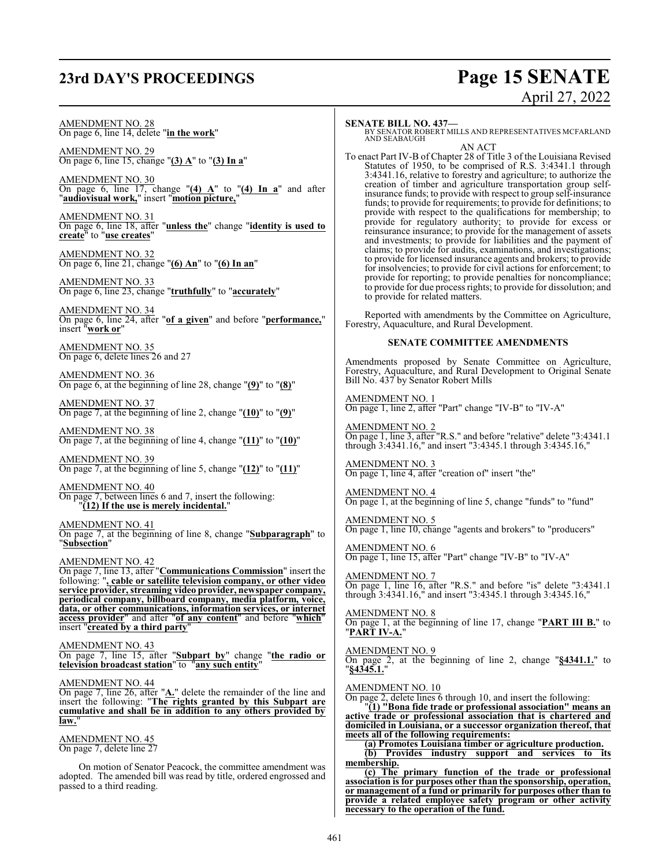## **23rd DAY'S PROCEEDINGS Page 15 SENATE**

# April 27, 2022

#### AMENDMENT NO. 28 On page 6, line 14, delete "**in the work**"

AMENDMENT NO. 29 On page 6, line 15, change "**(3) A**" to "**(3) In a**"

AMENDMENT NO. 30 On page 6, line 17, change "**(4) A**" to "**(4) In a**" and after "**audiovisual work,**" insert "**motion picture,**"

AMENDMENT NO. 31 On page 6, line 18, after "**unless the**" change "**identity is used to create**" to "**use creates**"

AMENDMENT NO. 32 On page 6, line 21, change "**(6) An**" to "**(6) In an**"

AMENDMENT NO. 33 On page 6, line 23, change "**truthfully**" to "**accurately**"

AMENDMENT NO. 34 On page 6, line 24, after "**of a given**" and before "**performance,**" insert "**work or**"

AMENDMENT NO. 35 On page 6, delete lines 26 and 27

AMENDMENT NO. 36 On page 6, at the beginning of line 28, change "**(9)**" to "**(8)**"

AMENDMENT NO. 37 On page 7, at the beginning of line 2, change "**(10)**" to "**(9)**"

AMENDMENT NO. 38 On page 7, at the beginning of line 4, change "**(11)**" to "**(10)**"

AMENDMENT NO. 39 On page 7, at the beginning of line 5, change "**(12)**" to "**(11)**"

AMENDMENT NO. 40 On page 7, between lines 6 and 7, insert the following: "**(12) If the use is merely incidental.**"

AMENDMENT NO. 41 On page 7, at the beginning of line 8, change "**Subparagraph**" to "**Subsection**"

AMENDMENT NO. 42

On page 7, line 13, after "**Communications Commission**" insert the following: "**, cable or satellite television company, or other video service provider, streaming video provider, newspaper company, periodical company, billboard company, media platform, voice, data, or other communications, information services, or internet access provider**" and after "**of any content**" and before "**which**" insert "**created by a third party**"

AMENDMENT NO. 43 On page 7, line 15, after "**Subpart by**" change "**the radio or**

**television broadcast station**" to "**any such entity**"

AMENDMENT NO. 44

On page 7, line 26, after "**A.**" delete the remainder of the line and insert the following: "**The rights granted by this Subpart are cumulative and shall be in addition to any others provided by** law.

AMENDMENT NO. 45 On page 7, delete line 27

On motion of Senator Peacock, the committee amendment was adopted. The amended bill was read by title, ordered engrossed and passed to a third reading.

#### **SENATE BILL NO. 437—**

BY SENATOR ROBERT MILLS AND REPRESENTATIVES MCFARLAND AND SEABAUGH AN ACT

To enact Part IV-B of Chapter 28 of Title 3 of the Louisiana Revised Statutes of 1950, to be comprised of R.S. 3:4341.1 through 3:4341.16, relative to forestry and agriculture; to authorize the creation of timber and agriculture transportation group selfinsurance funds; to provide with respect to group self-insurance funds; to provide for requirements; to provide for definitions; to provide with respect to the qualifications for membership; to provide for regulatory authority; to provide for excess or reinsurance insurance; to provide for the management of assets and investments; to provide for liabilities and the payment of claims; to provide for audits, examinations, and investigations; to provide for licensed insurance agents and brokers; to provide for insolvencies; to provide for civil actions for enforcement; to provide for reporting; to provide penalties for noncompliance; to provide for due process rights; to provide for dissolution; and to provide for related matters.

Reported with amendments by the Committee on Agriculture, Forestry, Aquaculture, and Rural Development.

#### **SENATE COMMITTEE AMENDMENTS**

Amendments proposed by Senate Committee on Agriculture, Forestry, Aquaculture, and Rural Development to Original Senate Bill No. 437 by Senator Robert Mills

AMENDMENT NO. 1 On page 1, line 2, after "Part" change "IV-B" to "IV-A"

AMENDMENT NO. 2 On page 1, line 3, after "R.S." and before "relative" delete "3:4341.1 through 3:4341.16," and insert "3:4345.1 through 3:4345.16,"

AMENDMENT NO. 3 On page 1, line 4, after "creation of" insert "the"

AMENDMENT NO. 4 On page 1, at the beginning of line 5, change "funds" to "fund"

AMENDMENT NO. 5 On page 1, line 10, change "agents and brokers" to "producers"

AMENDMENT NO. 6 On page 1, line 15, after "Part" change "IV-B" to "IV-A"

AMENDMENT NO. 7 On page 1, line 16, after "R.S." and before "is" delete "3:4341.1 through 3:4341.16," and insert "3:4345.1 through 3:4345.16,"

AMENDMENT NO. 8 On page 1, at the beginning of line 17, change "**PART III B.**" to "**PART IV-A.**"

AMENDMENT NO. 9 On page 2, at the beginning of line 2, change "**§4341.1.**" to "**§4345.1.**"

AMENDMENT NO. 10

On page 2, delete lines 6 through 10, and insert the following:

"**(1) "Bona fide trade or professional association" means an active trade or professional association that is chartered and domiciled in Louisiana, or a successor organization thereof, that meets all of the following requirements:**

**(a) Promotes Louisiana timber or agriculture production. (b) Provides industry support and services to its membership.**

**(c) The primary function of the trade or professional association is for purposes other than the sponsorship, operation, or management of a fund or primarily for purposes other than to provide a related employee safety program or other activity necessary to the operation of the fund.**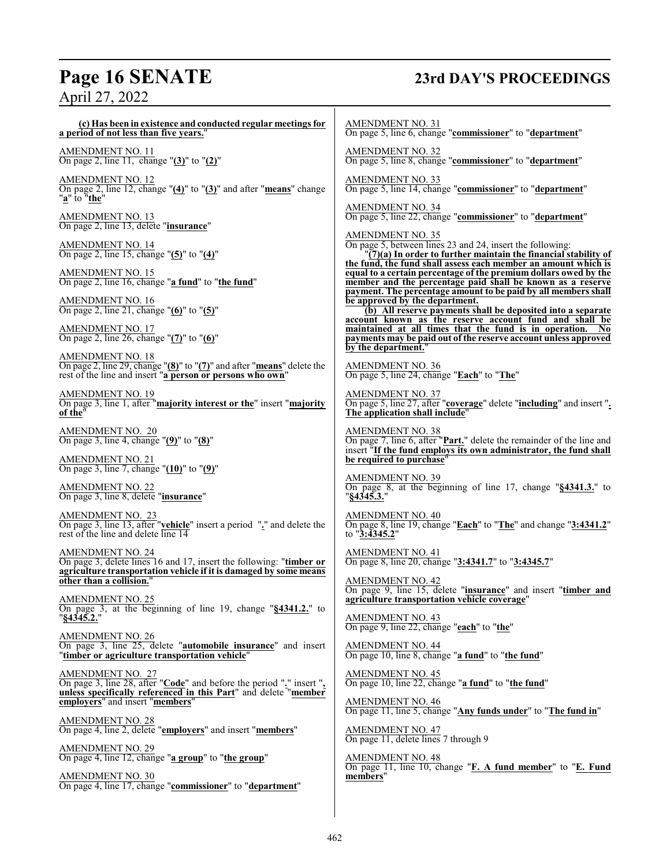## **Page 16 SENATE 23rd DAY'S PROCEEDINGS** April 27, 2022

| (c) Has been in existence and conducted regular meetings for<br>a period of not less than five years."                                                       | <b>AMENDMENT NO. 31</b><br>On page 5, line 6, change "commissioner" to "department"                                                                                                                                       |
|--------------------------------------------------------------------------------------------------------------------------------------------------------------|---------------------------------------------------------------------------------------------------------------------------------------------------------------------------------------------------------------------------|
| AMENDMENT NO. 11<br>On page 2, line 11, change "(3)" to "(2)"                                                                                                | <b>AMENDMENT NO. 32</b><br>On page 5, line 8, change "commissioner" to "department"                                                                                                                                       |
| AMENDMENT NO. 12<br>On page 2, line 12, change " $(4)$ " to " $(3)$ " and after "means" change<br>"a" to "the"                                               | <b>AMENDMENT NO. 33</b><br>On page 5, line 14, change "commissioner" to "department"                                                                                                                                      |
| <u>AMENDMENT NO. 13</u><br>On page 2, line 13, delete "insurance"                                                                                            | <b>AMENDMENT NO. 34</b><br>On page 5, line 22, change "commissioner" to "department"                                                                                                                                      |
| AMENDMENT NO. 14<br>On page 2, line 15, change "(5)" to "(4)"                                                                                                | <b>AMENDMENT NO. 35</b><br>On page 5, between lines 23 and 24, insert the following:<br>"(7)(a) In order to further maintain the financial stability of<br>the fund, the fund shall assess each member an amount which is |
| AMENDMENT NO. 15<br>On page 2, line 16, change "a fund" to "the fund"                                                                                        | equal to a certain percentage of the premium dollars owed by the<br>member and the percentage paid shall be known as a reserve<br>payment. The percentage amount to be paid by all members shall                          |
| AMENDMENT NO. 16<br>On page 2, line 21, change " $(6)$ " to " $(5)$ "                                                                                        | be approved by the department.<br>(b) All reserve payments shall be deposited into a separate<br>account known as the reserve account fund and shall be                                                                   |
| <b>AMENDMENT NO. 17</b><br>On page 2, line 26, change " $(7)$ " to " $(6)$ "<br><b>AMENDMENT NO. 18</b>                                                      | maintained at all times that the fund is in operation.<br>- No<br>payments may be paid out of the reserve account unless approved<br>by the department."                                                                  |
| On page 2, line 29, change "(8)" to "(7)" and after "means" delete the<br>rest of the line and insert "a person or persons who own"                          | <b>AMENDMENT NO. 36</b><br>On page 5, line 24, change "Each" to "The"                                                                                                                                                     |
| <u>AMENDMENT NO. 19</u><br>On page 3, line 1, after "majority interest or the" insert "majority<br>of the"                                                   | <b>AMENDMENT NO. 37</b><br>On page 5, line 27, after "coverage" delete "including" and insert ".<br>The application shall include"                                                                                        |
| AMENDMENT NO. 20<br>On page 3, line 4, change "(9)" to "(8)"                                                                                                 | <b>AMENDMENT NO. 38</b><br>On page 7, line 6, after " <b>Part.</b> " delete the remainder of the line and<br>insert "If the fund employs its own administrator, the fund shall                                            |
| AMENDMENT NO. 21<br>On page 3, line 7, change " $(10)$ " to " $(9)$ "                                                                                        | be required to purchase"                                                                                                                                                                                                  |
| AMENDMENT NO. 22<br>On page 3, line 8, delete " <b>insurance</b> "                                                                                           | <b>AMENDMENT NO. 39</b><br>On page 8, at the beginning of line 17, change "§4341.3." to<br>"§4345.3."                                                                                                                     |
| AMENDMENT NO. 23<br>On page 3, line 13, after "vehicle" insert a period " $\frac{1}{2}$ " and delete the rest of the line and delete line 14                 | <b>AMENDMENT NO. 40</b><br>On page 8, line 19, change "Each" to "The" and change "3:4341.2"<br>to $"3:4345.2"$                                                                                                            |
| AMENDMENT NO. 24<br>On page 3, delete lines 16 and 17, insert the following: "timber or<br>agriculture transportation vehicle if it is damaged by some means | <b>AMENDMENT NO. 41</b><br>On page 8, line 20, change "3:4341.7" to "3:4345.7"                                                                                                                                            |
| other than a collision.'<br>AMENDMENT NO. 25                                                                                                                 | <b>AMENDMENT NO. 42</b><br>On page 9, line 15, delete "insurance" and insert "timber and<br>agriculture transportation vehicle coverage"                                                                                  |
| On page 3, at the beginning of line 19, change " $\S$ 4341.2." to<br>"§4345.2."                                                                              | <b>AMENDMENT NO. 43</b><br>On page 9, line 22, change "each" to "the"                                                                                                                                                     |
| AMENDMENT NO. 26<br>On page 3, line 25, delete " <b>automobile insurance</b> " and insert<br>" <b>timber or agriculture transportation vehicle</b> "         | AMENDMENT NO. 44<br>On page 10, line 8, change "a fund" to "the fund"                                                                                                                                                     |
| AMENDMENT NO. 27<br>On page 3, line 28, after "Code" and before the period "." insert ",                                                                     | <b>AMENDMENT NO. 45</b><br>On page 10, line 22, change "a fund" to "the fund"                                                                                                                                             |
| unless specifically referenced in this Part" and delete "member<br>employers" and insert "members"                                                           | <b>AMENDMENT NO. 46</b><br>On page 11, line 5, change "Any funds under" to "The fund in"                                                                                                                                  |
| <u>AMENDMENT NO. 28</u><br>On page 4, line 2, delete "employers" and insert "members"                                                                        | AMENDMENT NO. 47<br>On page 11, delete lines 7 through 9                                                                                                                                                                  |
| <u>AMENDMENT NO. 29</u><br>On page 4, line 12, change " <u>a group</u> " to " <u>the group</u> "                                                             | <b>AMENDMENT NO. 48</b>                                                                                                                                                                                                   |
| AMENDMENT NO. 30                                                                                                                                             | On page 11, line 10, change "F. A fund member" to "E. Fund<br>members"                                                                                                                                                    |

On page 4, line 17, change "**commissioner**" to "**department**"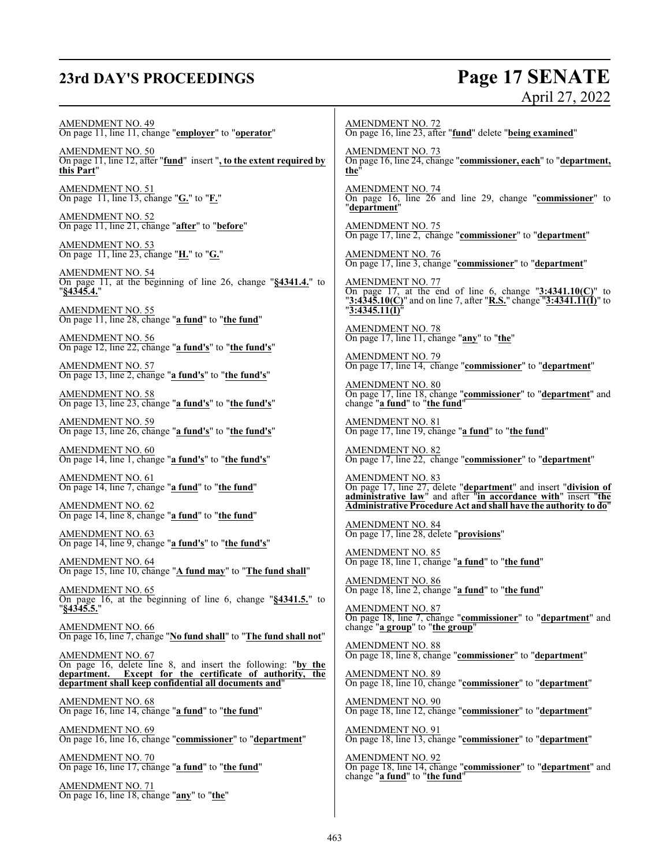## **23rd DAY'S PROCEEDINGS Page 17 SENATE**

## April 27, 2022

AMENDMENT NO. 49 On page 11, line 11, change "**employer**" to "**operator**"

AMENDMENT NO. 50 On page 11, line 12, after "**fund**" insert "**, to the extent required by this Part**"

AMENDMENT NO. 51 On page 11, line 13, change "**G.**" to "**F.**"

AMENDMENT NO. 52 On page 11, line 21, change "**after**" to "**before**"

AMENDMENT NO. 53 On page 11, line 23, change "**H.**" to "**G.**"

AMENDMENT NO. 54 On page 11, at the beginning of line 26, change "**§4341.4.**" to "**§4345.4.**"

AMENDMENT NO. 55 On page 11, line 28, change "**a fund**" to "**the fund**"

AMENDMENT NO. 56 On page 12, line 22, change "**a fund's**" to "**the fund's**"

AMENDMENT NO. 57 On page 13, line 2, change "**a fund's**" to "**the fund's**"

AMENDMENT NO. 58 On page 13, line 23, change "**a fund's**" to "**the fund's**"

AMENDMENT NO. 59 On page 13, line 26, change "**a fund's**" to "**the fund's**"

AMENDMENT NO. 60 On page 14, line 1, change "**a fund's**" to "**the fund's**"

AMENDMENT NO. 61 On page 14, line 7, change "**a fund**" to "**the fund**"

AMENDMENT NO. 62 On page 14, line 8, change "**a fund**" to "**the fund**"

AMENDMENT NO. 63 On page 14, line 9, change "**a fund's**" to "**the fund's**"

AMENDMENT NO. 64 On page 15, line 10, change "**A fund may**" to "**The fund shall**"

AMENDMENT NO. 65 On page 16, at the beginning of line 6, change "**§4341.5.**" to "**§4345.5.**"

AMENDMENT NO. 66 On page 16, line 7, change "**No fund shall**" to "**The fund shall not**"

AMENDMENT NO. 67 On page 16, delete line 8, and insert the following: "**by the department. Except for the certificate of authority, the department shall keep confidential all documents and**"

AMENDMENT NO. 68 On page 16, line 14, change "**a fund**" to "**the fund**"

AMENDMENT NO. 69 On page 16, line 16, change "**commissioner**" to "**department**"

AMENDMENT NO. 70 On page 16, line 17, change "**a fund**" to "**the fund**"

AMENDMENT NO. 71 On page 16, line 18, change "**any**" to "**the**"

AMENDMENT NO. 72 On page 16, line 23, after "**fund**" delete "**being examined**"

AMENDMENT NO. 73 On page 16, line 24, change "**commissioner, each**" to "**department, the**"

AMENDMENT NO. 74 On page 16, line 26 and line 29, change "**commissioner**" to "**department**"

AMENDMENT NO. 75 On page 17, line 2, change "**commissioner**" to "**department**"

AMENDMENT NO. 76 On page 17, line 3, change "**commissioner**" to "**department**"

AMENDMENT NO. 77 On page 17, at the end of line 6, change "**3:4341.10(C)**" to "**3:4345.10(C)**" and on line 7, after "**R.S.**" change "**3:4341.11(I)**" to "**3:4345.11(I)**"

AMENDMENT NO. 78 On page 17, line 11, change "**any**" to "**the**"

AMENDMENT NO. 79 On page 17, line 14, change "**commissioner**" to "**department**"

AMENDMENT NO. 80 On page 17, line 18, change "**commissioner**" to "**department**" and change "**a fund**" to "**the fund**"

AMENDMENT NO. 81 On page 17, line 19, change "**a fund**" to "**the fund**"

AMENDMENT NO. 82 On page 17, line 22, change "**commissioner**" to "**department**"

AMENDMENT NO. 83 On page 17, line 27, delete "**department**" and insert "**division of administrative law**" and after "**in accordance with**" insert "**the Administrative Procedure Act and shall have the authority to do**"

AMENDMENT NO. 84 On page 17, line 28, delete "**provisions**"

AMENDMENT NO. 85 On page 18, line 1, change "**a fund**" to "**the fund**"

AMENDMENT NO. 86 On page 18, line 2, change "**a fund**" to "**the fund**"

AMENDMENT NO. 87 On page 18, line 7, change "**commissioner**" to "**department**" and change "**a group**" to "**the group**"

AMENDMENT NO. 88 On page 18, line 8, change "**commissioner**" to "**department**"

AMENDMENT NO. 89 On page 18, line 10, change "**commissioner**" to "**department**"

AMENDMENT NO. 90 On page 18, line 12, change "**commissioner**" to "**department**"

AMENDMENT NO. 91 On page 18, line 13, change "**commissioner**" to "**department**"

AMENDMENT NO. 92 On page 18, line 14, change "**commissioner**" to "**department**" and change "**a fund**" to "**the fund**"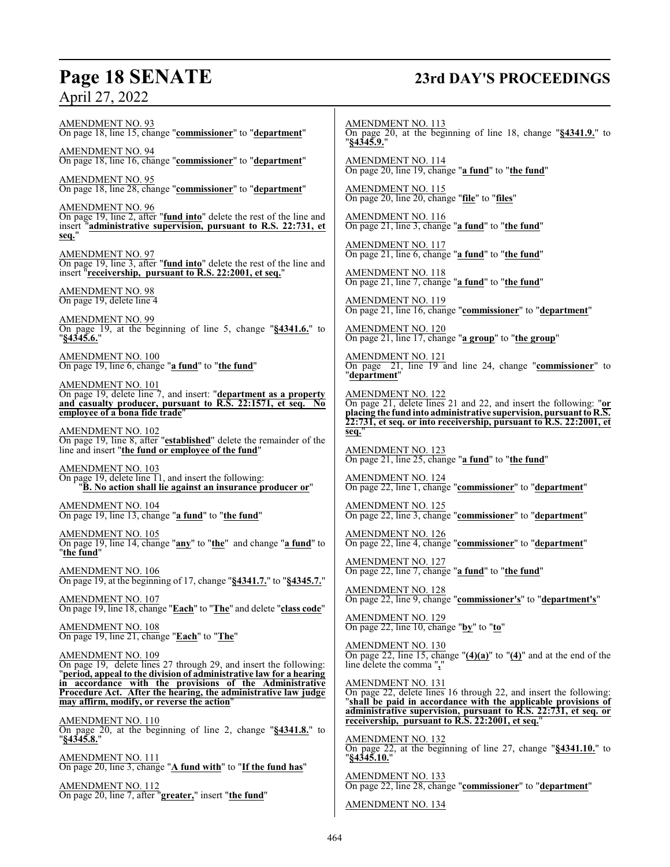## **Page 18 SENATE 23rd DAY'S PROCEEDINGS**

AMENDMENT NO. 93 On page 18, line 15, change "**commissioner**" to "**department**"

AMENDMENT NO. 94 On page 18, line 16, change "**commissioner**" to "**department**"

AMENDMENT NO. 95 On page 18, line 28, change "**commissioner**" to "**department**"

AMENDMENT NO. 96 On page 19, line 2, after "**fund into**" delete the rest of the line and insert "**administrative supervision, pursuant to R.S. 22:731, et seq.**"

AMENDMENT NO. 97 On page 19, line 3, after "**fund into**" delete the rest of the line and insert "**receivership, pursuant to R.S. 22:2001, et seq.**"

AMENDMENT NO. 98 On page 19, delete line 4

AMENDMENT NO. 99 On page 19, at the beginning of line 5, change "**§4341.6.**" to "**§4345.6.**"

AMENDMENT NO. 100 On page 19, line 6, change "**a fund**" to "**the fund**"

AMENDMENT NO. 101 On page 19, delete line 7, and insert: "**department as a property and casualty producer, pursuant to R.S. 22:1571, et seq. No employee of a bona fide trade**"

AMENDMENT NO. 102 On page 19, line 8, after "**established**" delete the remainder of the line and insert "**the fund or employee of the fund**"

AMENDMENT NO. 103 On page 19, delete line 11, and insert the following: "**B. No action shall lie against an insurance producer or**"

AMENDMENT NO. 104 On page 19, line 13, change "**a fund**" to "**the fund**"

AMENDMENT NO. 105 On page 19, line 14, change "**any**" to "**the**" and change "**a fund**" to "**the fund**"

AMENDMENT NO. 106 On page 19, at the beginning of 17, change "**§4341.7.**" to "**§4345.7.**"

AMENDMENT NO. 107 On page 19, line 18, change "**Each**" to "**The**" and delete "**class code**"

AMENDMENT NO. 108 On page 19, line 21, change "**Each**" to "**The**"

AMENDMENT NO. 109 On page 19, delete lines 27 through 29, and insert the following: "**period, appeal to the division of administrative law for a hearing in accordance with the provisions of the Administrative Procedure Act. After the hearing, the administrative law judge may affirm, modify, or reverse the action**"

AMENDMENT NO. 110 On page 20, at the beginning of line 2, change "**§4341.8.**" to "**§4345.8.**"

AMENDMENT NO. 111 On page 20, line 3, change "**A fund with**" to "**If the fund has**"

AMENDMENT NO. 112 On page 20, line 7, after "**greater,**" insert "**the fund**" AMENDMENT NO. 113 On page 20, at the beginning of line 18, change "**§4341.9.**" to "**§4345.9.**"

AMENDMENT NO. 114 On page 20, line 19, change "**a fund**" to "**the fund**"

AMENDMENT NO. 115 On page 20, line 20, change "**file**" to "**files**"

AMENDMENT NO. 116 On page 21, line 3, change "**a fund**" to "**the fund**"

AMENDMENT NO. 117 On page 21, line 6, change "**a fund**" to "**the fund**"

AMENDMENT NO. 118 On page 21, line 7, change "**a fund**" to "**the fund**"

AMENDMENT NO. 119 On page 21, line 16, change "**commissioner**" to "**department**"

AMENDMENT NO. 120 On page 21, line 17, change "**a group**" to "**the group**"

AMENDMENT NO. 121 On page 21, line 19 and line 24, change "**commissioner**" to "**department**"

AMENDMENT NO. 122 On page 21, delete lines 21 and 22, and insert the following: "**or placing the fund into administrative supervision, pursuantto R.S. 22:731, et seq. or into receivership, pursuant to R.S. 22:2001, et seq.**"

AMENDMENT NO. 123 On page 21, line 25, change "**a fund**" to "**the fund**"

AMENDMENT NO. 124 On page 22, line 1, change "**commissioner**" to "**department**"

AMENDMENT NO. 125 On page 22, line 3, change "**commissioner**" to "**department**"

AMENDMENT NO. 126 On page 22, line 4, change "**commissioner**" to "**department**"

AMENDMENT NO. 127 On page 22, line 7, change "**a fund**" to "**the fund**"

AMENDMENT NO. 128 On page 22, line 9, change "**commissioner's**" to "**department's**"

AMENDMENT NO. 129 On page 22, line 10, change "**by**" to "**to**"

AMENDMENT NO. 130 On page 22, line 15, change "**(4)(a)**" to "**(4)**" and at the end of the line delete the comma "**,**"

AMENDMENT NO. 131 On page 22, delete lines 16 through 22, and insert the following: "**shall be paid in accordance with the applicable provisions of administrative supervision, pursuant to R.S. 22:731, et seq. or receivership, pursuant to R.S. 22:2001, et seq.**"

AMENDMENT NO. 132 On page 22, at the beginning of line 27, change "**§4341.10.**" to "**§4345.10.**"

AMENDMENT NO. 133 On page 22, line 28, change "**commissioner**" to "**department**"

AMENDMENT NO. 134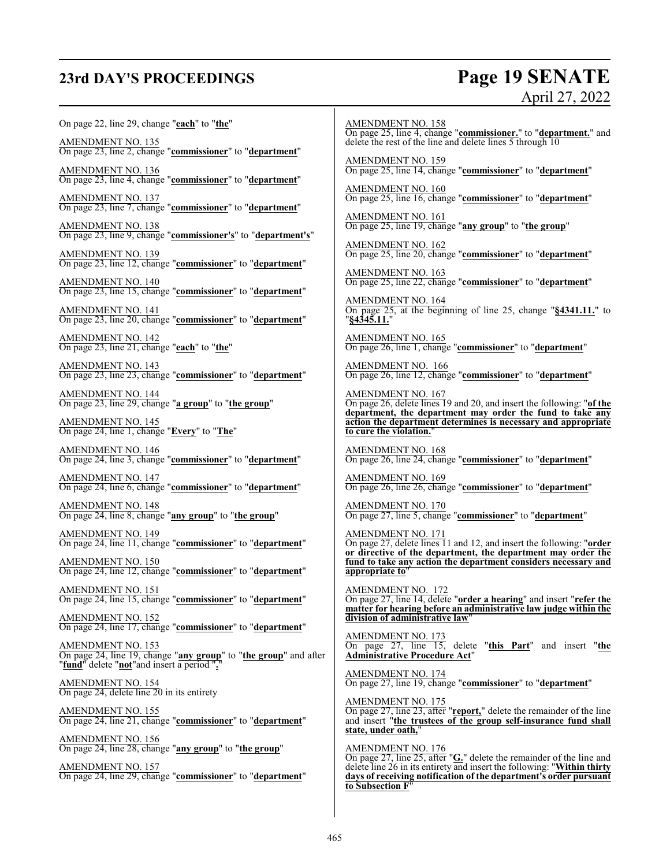## **23rd DAY'S PROCEEDINGS Page 19 SENATE**

## April 27, 2022

### On page 22, line 29, change "**each**" to "**the**" AMENDMENT NO. 135 On page 23, line 2, change "**commissioner**" to "**department**" AMENDMENT NO. 136 On page 23, line 4, change "**commissioner**" to "**department**" AMENDMENT NO. 137 On page 23, line 7, change "**commissioner**" to "**department**" AMENDMENT NO. 138 On page 23, line 9, change "**commissioner's**" to "**department's**" AMENDMENT NO. 139 On page 23, line 12, change "**commissioner**" to "**department**" AMENDMENT NO. 140 On page 23, line 15, change "**commissioner**" to "**department**" AMENDMENT NO. 141 On page 23, line 20, change "**commissioner**" to "**department**" AMENDMENT NO. 142 On page 23, line 21, change "**each**" to "**the**" AMENDMENT NO. 143 On page 23, line 23, change "**commissioner**" to "**department**" AMENDMENT NO. 144 On page 23, line 29, change "**a group**" to "**the group**" AMENDMENT NO. 145 On page 24, line 1, change "**Every**" to "**The**" AMENDMENT NO. 146 On page 24, line 3, change "**commissioner**" to "**department**" AMENDMENT NO. 147 On page 24, line 6, change "**commissioner**" to "**department**" AMENDMENT NO. 148 On page 24, line 8, change "**any group**" to "**the group**" AMENDMENT NO. 149 On page 24, line 11, change "**commissioner**" to "**department**" AMENDMENT NO. 150 On page 24, line 12, change "**commissioner**" to "**department**" AMENDMENT NO. 151 On page 24, line 15, change "**commissioner**" to "**department**" AMENDMENT NO. 152 On page 24, line 17, change "**commissioner**" to "**department**" AMENDMENT NO. 153 On page 24, line 19, change "**any group**" to "**the group**" and after "**fund**" delete "**not**"and insert a period "**.**" AMENDMENT NO. 154 On page 24, delete line 20 in its entirety AMENDMENT NO. 155 On page 24, line 21, change "**commissioner**" to "**department**" AMENDMENT NO. 156 On page 24, line 28, change "**any group**" to "**the group**" AMENDMENT NO. 157 On page 24, line 29, change "**commissioner**" to "**department**"

AMENDMENT NO. 158 On page 25, line 4, change "**commissioner.**" to "**department.**" and delete the rest of the line and delete lines 5 through 10

AMENDMENT NO. 159 On page 25, line 14, change "**commissioner**" to "**department**"

AMENDMENT NO. 160 On page 25, line 16, change "**commissioner**" to "**department**"

AMENDMENT NO. 161 On page 25, line 19, change "**any group**" to "**the group**"

AMENDMENT NO. 162 On page 25, line 20, change "**commissioner**" to "**department**"

AMENDMENT NO. 163 On page 25, line 22, change "**commissioner**" to "**department**"

AMENDMENT NO. 164 On page 25, at the beginning of line 25, change "**§4341.11.**" to "**§4345.11.**"

AMENDMENT NO. 165 On page 26, line 1, change "**commissioner**" to "**department**"

AMENDMENT NO. 166 On page 26, line 12, change "**commissioner**" to "**department**"

AMENDMENT NO. 167 On page 26, delete lines 19 and 20, and insert the following: "**of the department, the department may order the fund to take any action the department determines is necessary and appropriate to cure the violation.**"

AMENDMENT NO. 168 On page 26, line 24, change "**commissioner**" to "**department**"

AMENDMENT NO. 169 On page 26, line 26, change "**commissioner**" to "**department**"

AMENDMENT NO. 170 On page 27, line 5, change "**commissioner**" to "**department**"

AMENDMENT NO. 171 On page 27, delete lines 11 and 12, and insert the following: "**order or directive of the department, the department may order the fund to take any action the department considers necessary and appropriate to**"

AMENDMENT NO. 172 On page 27, line 14, delete "**order a hearing**" and insert "**refer the matter for hearing before an administrative law judge within the division of administrative law**"

AMENDMENT NO. 173 On page 27, line 15, delete "**this Part**" and insert "**the Administrative Procedure Act**"

AMENDMENT NO. 174 On page 27, line 19, change "**commissioner**" to "**department**"

AMENDMENT NO. 175 On page 27, line 23, after "**report,**" delete the remainder of the line and insert "**the trustees of the group self-insurance fund shall state, under oath,**"

AMENDMENT NO. 176 On page 27, line 25, after "**G.**" delete the remainder of the line and delete line 26 in its entirety and insert the following: "**Within thirty days of receiving notification of the department's order pursuant to Subsection F**"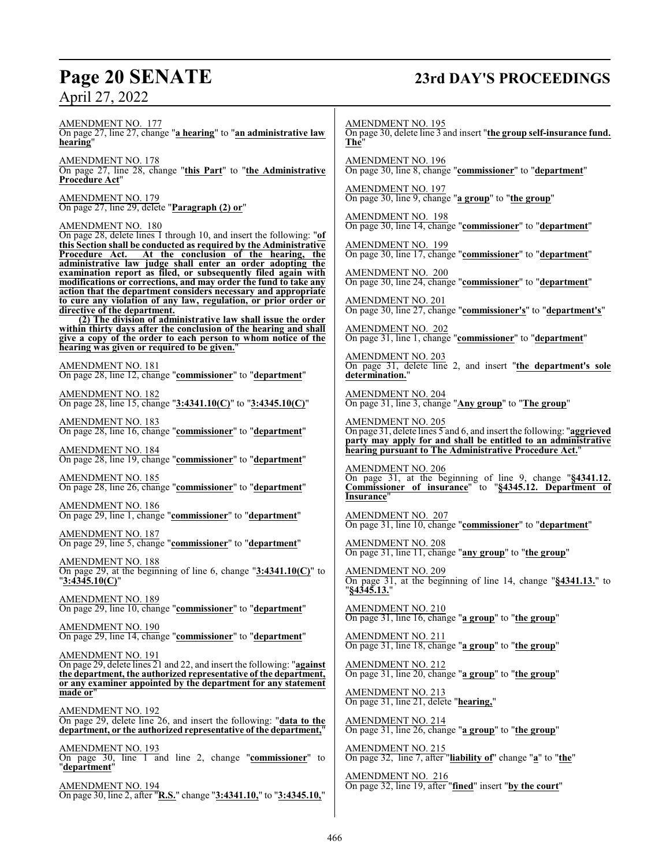## **Page 20 SENATE 23rd DAY'S PROCEEDINGS**

AMENDMENT NO. 177 On page 27, line 27, change "**a hearing**" to "**an administrative law hearing**"

AMENDMENT NO. 178 On page 27, line 28, change "**this Part**" to "**the Administrative Procedure Act**"

AMENDMENT NO. 179 On page 27, line 29, delete "**Paragraph (2) or**"

AMENDMENT NO. 180

On page 28, delete lines 1 through 10, and insert the following: "**of this Section shall be conducted as required by the Administrative** At the conclusion of the hearing, the **administrative law judge shall enter an order adopting the examination report as filed, or subsequently filed again with modifications or corrections, and may order the fund to take any action that the department considers necessary and appropriate to cure any violation of any law, regulation, or prior order or directive of the department.**

**(2) The division of administrative law shall issue the order within thirty days after the conclusion of the hearing and shall give a copy of the order to each person to whom notice of the hearing was given or required to be given.**"

AMENDMENT NO. 181 On page 28, line 12, change "**commissioner**" to "**department**"

AMENDMENT NO. 182 On page 28, line 15, change "**3:4341.10(C)**" to "**3:4345.10(C)**"

AMENDMENT NO. 183 On page 28, line 16, change "**commissioner**" to "**department**"

AMENDMENT NO. 184 On page 28, line 19, change "**commissioner**" to "**department**"

AMENDMENT NO. 185 On page 28, line 26, change "**commissioner**" to "**department**"

AMENDMENT NO. 186 On page 29, line 1, change "**commissioner**" to "**department**"

AMENDMENT NO. 187 On page 29, line 5, change "**commissioner**" to "**department**"

AMENDMENT NO. 188 On page 29, at the beginning of line 6, change "**3:4341.10(C)**" to "**3:4345.10(C)**"

AMENDMENT NO. 189 On page 29, line 10, change "**commissioner**" to "**department**"

AMENDMENT NO. 190 On page 29, line 14, change "**commissioner**" to "**department**"

AMENDMENT NO. 191 On page 29, delete lines 21 and 22, and insert the following: "**against the department, the authorized representative of the department, or any examiner appointed by the department for any statement made or**"

AMENDMENT NO. 192 On page 29, delete line 26, and insert the following: "**data to the department, or the authorized representative of the department,**"

AMENDMENT NO. 193 On page 30, line 1 and line 2, change "**commissioner**" to "**department**"

AMENDMENT NO. 194 On page 30, line 2, after "**R.S.**" change "**3:4341.10,**" to "**3:4345.10,**" AMENDMENT NO. 195

On page 30, delete line 3 and insert "**the group self-insurance fund. The**"

AMENDMENT NO. 196 On page 30, line 8, change "**commissioner**" to "**department**"

AMENDMENT NO. 197 On page 30, line 9, change "**a group**" to "**the group**"

AMENDMENT NO. 198 On page 30, line 14, change "**commissioner**" to "**department**"

AMENDMENT NO. 199 On page 30, line 17, change "**commissioner**" to "**department**"

AMENDMENT NO. 200 On page 30, line 24, change "**commissioner**" to "**department**"

AMENDMENT NO. 201 On page 30, line 27, change "**commissioner's**" to "**department's**"

AMENDMENT NO. 202 On page 31, line 1, change "**commissioner**" to "**department**"

AMENDMENT NO. 203 On page 31, delete line 2, and insert "**the department's sole determination.**"

AMENDMENT NO. 204 On page 31, line 3, change "**Any group**" to "**The group**"

AMENDMENT NO. 205 On page 31, delete lines 5 and 6, and insert the following: "**aggrieved party may apply for and shall be entitled to an administrative hearing pursuant to The Administrative Procedure Act.**"

AMENDMENT NO. 206 On page 31, at the beginning of line 9, change "**§4341.12. Commissioner of insurance**" to "**§4345.12. Department of Insurance**"

AMENDMENT NO. 207 On page 31, line 10, change "**commissioner**" to "**department**"

AMENDMENT NO. 208 On page 31, line 11, change "**any group**" to "**the group**"

AMENDMENT NO. 209 On page 31, at the beginning of line 14, change "**§4341.13.**" to "**§4345.13.**"

AMENDMENT NO. 210 On page 31, line 16, change "**a group**" to "**the group**"

AMENDMENT NO. 211 On page 31, line 18, change "**a group**" to "**the group**"

AMENDMENT NO. 212 On page 31, line 20, change "**a group**" to "**the group**"

AMENDMENT NO. 213 On page 31, line 21, delete "**hearing,**"

AMENDMENT NO. 214 On page 31, line 26, change "**a group**" to "**the group**"

AMENDMENT NO. 215 On page 32, line 7, after "**liability of**" change "**a**" to "**the**"

AMENDMENT NO. 216 On page 32, line 19, after "**fined**" insert "**by the court**"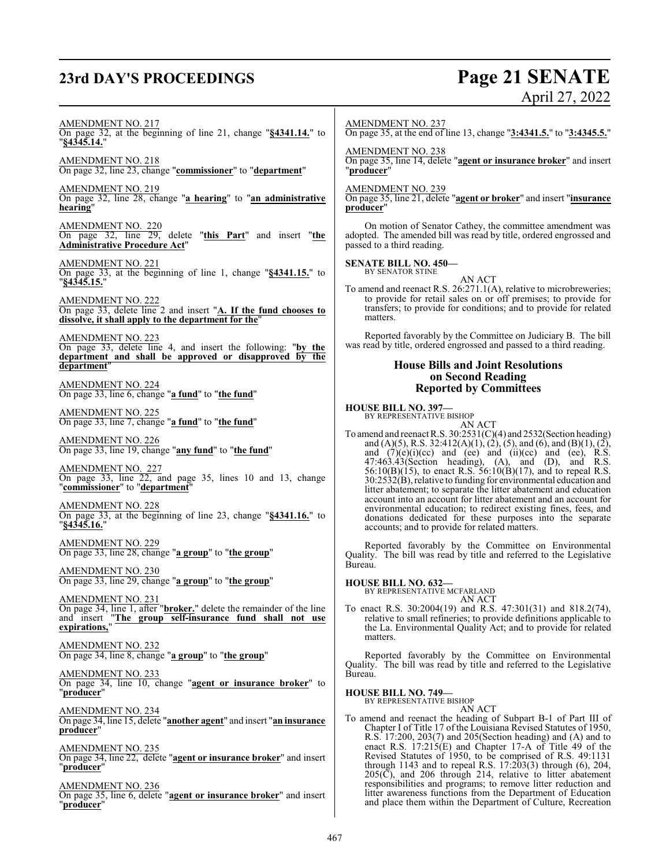## **23rd DAY'S PROCEEDINGS Page 21 SENATE**

# April 27, 2022

AMENDMENT NO. 217

On page 32, at the beginning of line 21, change "**§4341.14.**" to "**§4345.14.**" AMENDMENT NO. 218

On page 32, line 23, change "**commissioner**" to "**department**"

AMENDMENT NO. 219 On page 32, line 28, change "**a hearing**" to "**an administrative hearing**"

AMENDMENT NO. 220 On page 32, line 29, delete "**this Part**" and insert "**the Administrative Procedure Act**"

AMENDMENT NO. 221 On page 33, at the beginning of line 1, change "**§4341.15.**" to "**§4345.15.**"

AMENDMENT NO. 222 On page 33, delete line 2 and insert "**A. If the fund chooses to dissolve, it shall apply to the department for the**"

AMENDMENT NO. 223 On page 33, delete line 4, and insert the following: "**by the department and shall be approved or disapproved by the department**"

AMENDMENT NO. 224 On page 33, line 6, change "**a fund**" to "**the fund**"

AMENDMENT NO. 225 On page 33, line 7, change "**a fund**" to "**the fund**"

AMENDMENT NO. 226 On page 33, line 19, change "**any fund**" to "**the fund**"

AMENDMENT NO. 227 On page 33, line 22, and page 35, lines 10 and 13, change "**commissioner**" to "**department**"

AMENDMENT NO. 228 On page 33, at the beginning of line 23, change "**§4341.16.**" to "**§4345.16.**"

AMENDMENT NO. 229 On page 33, line 28, change "**a group**" to "**the group**"

AMENDMENT NO. 230 On page 33, line 29, change "**a group**" to "**the group**"

AMENDMENT NO. 231 On page 34, line 1, after "**broker.**" delete the remainder of the line and insert "**The group self-insurance fund shall not use expirations,**"

AMENDMENT NO. 232 On page 34, line 8, change "**a group**" to "**the group**"

AMENDMENT NO. 233 On page 34, line 10, change "**agent or insurance broker**" to "**producer**"

AMENDMENT NO. 234 On page 34, line 15, delete "**another agent**" and insert "**an insurance producer**"

AMENDMENT NO. 235 On page 34, line 22, delete "**agent or insurance broker**" and insert "**producer**"

AMENDMENT NO. 236 On page 35, line 6, delete "**agent or insurance broker**" and insert "**producer**"

AMENDMENT NO. 237

On page 35, at the end of line 13, change "**3:4341.5.**" to "**3:4345.5.**"

AMENDMENT NO. 238

On page 35, line 14, delete "**agent or insurance broker**" and insert "**producer**"

AMENDMENT NO. 239

On page 35, line 21, delete "**agent or broker**" and insert "**insurance producer**"

On motion of Senator Cathey, the committee amendment was adopted. The amended bill was read by title, ordered engrossed and passed to a third reading.

**SENATE BILL NO. 450—** BY SENATOR STINE

AN ACT To amend and reenact R.S. 26:271.1(A), relative to microbreweries; to provide for retail sales on or off premises; to provide for transfers; to provide for conditions; and to provide for related matters.

Reported favorably by the Committee on Judiciary B. The bill was read by title, ordered engrossed and passed to a third reading.

#### **House Bills and Joint Resolutions on Second Reading Reported by Committees**

#### **HOUSE BILL NO. 397—**

BY REPRESENTATIVE BISHOP

AN ACT To amend and reenact R.S. 30:2531(C)(4) and 2532(Section heading) and (A)(5), R.S. 32:412(A)(1), (2), (5), and (6), and (B)(1), (2), and  $(7)(e)(i)(ce)$  and  $(ee)$  and  $(ii)(ce)$  and  $(ee)$ , R.S. 47:463.43(Section heading), (A), and (D), and R.S.  $56:10(B)(15)$ , to enact R.S.  $56:10(B)(17)$ , and to repeal R.S. 30:2532(B), relative to funding for environmental education and litter abatement; to separate the litter abatement and education account into an account for litter abatement and an account for environmental education; to redirect existing fines, fees, and donations dedicated for these purposes into the separate accounts; and to provide for related matters.

Reported favorably by the Committee on Environmental Quality. The bill was read by title and referred to the Legislative Bureau.

**HOUSE BILL NO. 632—**

BY REPRESENTATIVE MCFARLAND AN ACT

To enact R.S. 30:2004(19) and R.S. 47:301(31) and 818.2(74), relative to small refineries; to provide definitions applicable to the La. Environmental Quality Act; and to provide for related matters.

Reported favorably by the Committee on Environmental Quality. The bill was read by title and referred to the Legislative Bureau.

**HOUSE BILL NO. 749—** BY REPRESENTATIVE BISHOP

AN ACT

To amend and reenact the heading of Subpart B-1 of Part III of Chapter I of Title 17 of the Louisiana Revised Statutes of 1950, R.S. 17:200, 203(7) and 205(Section heading) and (A) and to enact R.S. 17:215(E) and Chapter 17-A of Title 49 of the Revised Statutes of 1950, to be comprised of R.S. 49:1131 through 1143 and to repeal R.S. 17:203(3) through (6), 204, 205(C), and 206 through 214, relative to litter abatement responsibilities and programs; to remove litter reduction and litter awareness functions from the Department of Education and place them within the Department of Culture, Recreation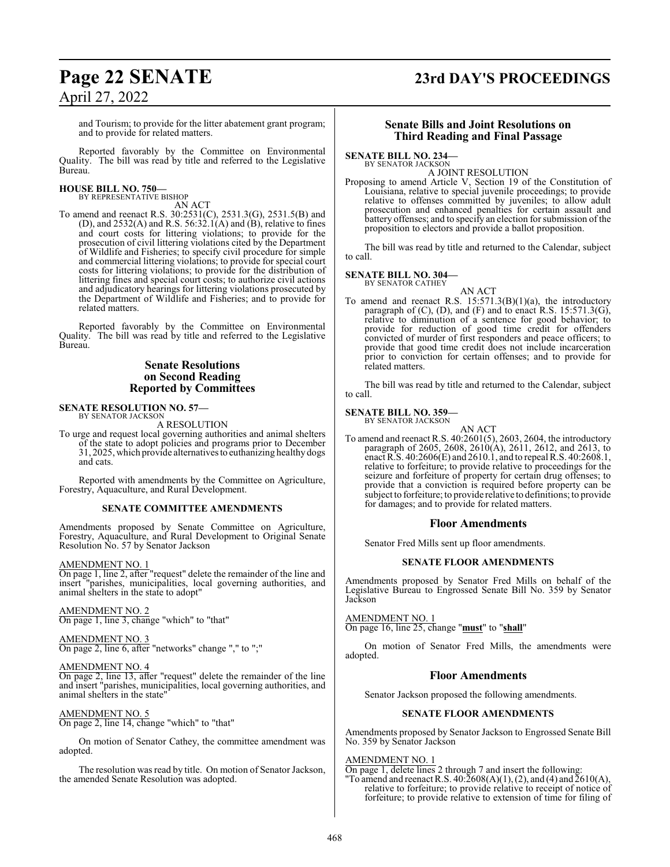## **Page 22 SENATE 23rd DAY'S PROCEEDINGS**

and Tourism; to provide for the litter abatement grant program; and to provide for related matters.

Reported favorably by the Committee on Environmental Quality. The bill was read by title and referred to the Legislative Bureau.

#### **HOUSE BILL NO. 750—** BY REPRESENTATIVE BISHOP

AN ACT

To amend and reenact R.S. 30:2531(C), 2531.3(G), 2531.5(B) and (D), and  $2532(A)$  and R.S. 56:32.1(A) and (B), relative to fines and court costs for littering violations; to provide for the prosecution of civil littering violations cited by the Department of Wildlife and Fisheries; to specify civil procedure for simple and commercial littering violations; to provide for special court costs for littering violations; to provide for the distribution of littering fines and special court costs; to authorize civil actions and adjudicatory hearings for littering violations prosecuted by the Department of Wildlife and Fisheries; and to provide for related matters.

Reported favorably by the Committee on Environmental Quality. The bill was read by title and referred to the Legislative Bureau.

### **Senate Resolutions on Second Reading Reported by Committees**

## **SENATE RESOLUTION NO. 57—** BY SENATOR JACKSON

A RESOLUTION

To urge and request local governing authorities and animal shelters of the state to adopt policies and programs prior to December 31, 2025, which provide alternatives to euthanizing healthy dogs and cats.

Reported with amendments by the Committee on Agriculture, Forestry, Aquaculture, and Rural Development.

#### **SENATE COMMITTEE AMENDMENTS**

Amendments proposed by Senate Committee on Agriculture, Forestry, Aquaculture, and Rural Development to Original Senate Resolution No. 57 by Senator Jackson

#### AMENDMENT NO. 1

On page 1, line 2, after "request" delete the remainder of the line and insert "parishes, municipalities, local governing authorities, and 'parishes, municipalities, local governing authorities, and animal shelters in the state to adopt"

AMENDMENT NO. 2 On page 1, line 3, change "which" to "that"

#### AMENDMENT NO. 3

On page 2, line 6, after "networks" change "," to ";"

#### AMENDMENT NO. 4

On page 2, line 13, after "request" delete the remainder of the line and insert "parishes, municipalities, local governing authorities, and animal shelters in the state"

AMENDMENT NO. 5 On page 2, line 14, change "which" to "that"

On motion of Senator Cathey, the committee amendment was adopted.

The resolution was read by title. On motion of Senator Jackson, the amended Senate Resolution was adopted.

#### **Senate Bills and Joint Resolutions on Third Reading and Final Passage**

#### **SENATE BILL NO. 234—**

BY SENATOR JACKSON A JOINT RESOLUTION

Proposing to amend Article V, Section 19 of the Constitution of Louisiana, relative to special juvenile proceedings; to provide relative to offenses committed by juveniles; to allow adult prosecution and enhanced penalties for certain assault and battery offenses; and to specify an election for submission of the proposition to electors and provide a ballot proposition.

The bill was read by title and returned to the Calendar, subject to call.

#### **SENATE BILL NO. 304—** BY SENATOR CATHEY

AN ACT

To amend and reenact R.S.  $15:571.3(B)(1)(a)$ , the introductory paragraph of (C), (D), and (F) and to enact R.S. 15:571.3(G), relative to diminution of a sentence for good behavior; to provide for reduction of good time credit for offenders convicted of murder of first responders and peace officers; to provide that good time credit does not include incarceration prior to conviction for certain offenses; and to provide for related matters.

The bill was read by title and returned to the Calendar, subject to call.

#### **SENATE BILL NO. 359—**

BY SENATOR JACKSON

AN ACT To amend and reenact R.S. 40:2601(5), 2603, 2604, the introductory paragraph of 2605, 2608, 2610(A), 2611, 2612, and 2613, to enact R.S. 40:2606(E) and 2610.1, and to repeal R.S. 40:2608.1, relative to forfeiture; to provide relative to proceedings for the seizure and forfeiture of property for certain drug offenses; to provide that a conviction is required before property can be subject to forfeiture; to provide relative to definitions; to provide for damages; and to provide for related matters.

#### **Floor Amendments**

Senator Fred Mills sent up floor amendments.

#### **SENATE FLOOR AMENDMENTS**

Amendments proposed by Senator Fred Mills on behalf of the Legislative Bureau to Engrossed Senate Bill No. 359 by Senator Jackson

**AMENDMENT NO.** 

On page 16, line 25, change "**must**" to "**shall**"

On motion of Senator Fred Mills, the amendments were adopted.

#### **Floor Amendments**

Senator Jackson proposed the following amendments.

#### **SENATE FLOOR AMENDMENTS**

Amendments proposed by Senator Jackson to Engrossed Senate Bill No. 359 by Senator Jackson

AMENDMENT NO. 1

On page 1, delete lines 2 through 7 and insert the following:

"To amend and reenact R.S.  $40:2608(A)(1), (2)$ , and  $(4)$  and  $2610(A)$ , relative to forfeiture; to provide relative to receipt of notice of forfeiture; to provide relative to extension of time for filing of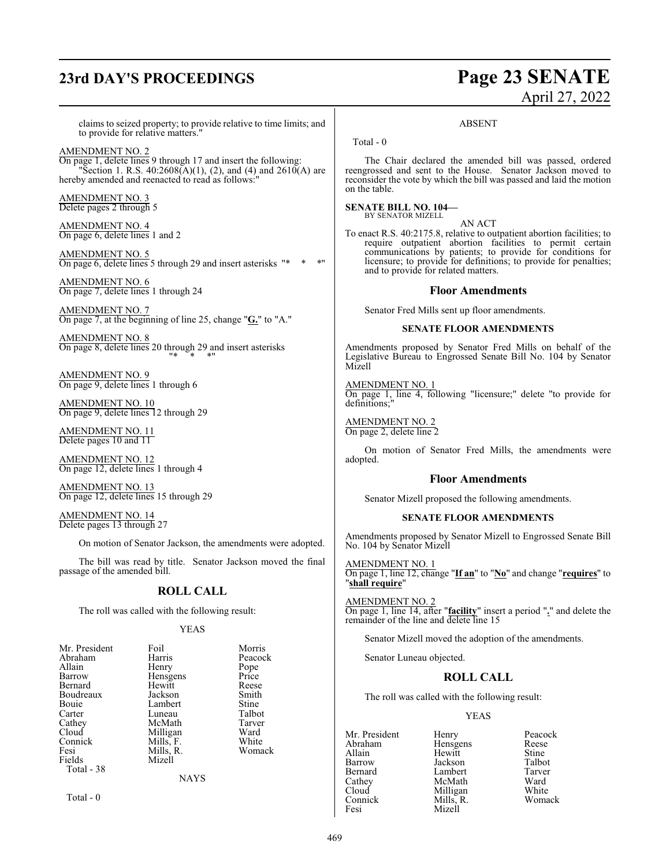## **23rd DAY'S PROCEEDINGS Page 23 SENATE**

# April 27, 2022

ABSENT

claims to seized property; to provide relative to time limits; and to provide for relative matters."

AMENDMENT NO. 2

On page 1, delete lines 9 through 17 and insert the following: "Section 1. R.S.  $40:2608(A)(1)$ , (2), and (4) and  $2610(A)$  are hereby amended and reenacted to read as follows:"

AMENDMENT NO. 3 Delete pages 2 through 5

AMENDMENT NO. 4 On page 6, delete lines 1 and 2

AMENDMENT NO. 5 On page 6, delete lines 5 through 29 and insert asterisks "\* \* \* "

AMENDMENT NO. 6 On page 7, delete lines 1 through 24

AMENDMENT NO. 7 On page 7, at the beginning of line 25, change "**G.**" to "A."

AMENDMENT NO. 8 On page 8, delete lines 20 through 29 and insert asterisks "\* \* \*"

AMENDMENT NO. 9 On page 9, delete lines 1 through 6

AMENDMENT NO. 10 On page 9, delete lines 12 through 29

AMENDMENT NO. 11 Delete pages 10 and 11

AMENDMENT NO. 12 On page 12, delete lines 1 through 4

AMENDMENT NO. 13 On page 12, delete lines 15 through 29

AMENDMENT NO. 14 Delete pages 13 through 27

On motion of Senator Jackson, the amendments were adopted.

The bill was read by title. Senator Jackson moved the final passage of the amended bill.

#### **ROLL CALL**

The roll was called with the following result:

YEAS

| Mr. President | Foil        | Morris  |
|---------------|-------------|---------|
| Abraham       | Harris      | Peacock |
| Allain        | Henry       | Pope    |
| Barrow        | Hensgens    | Price   |
| Bernard       | Hewitt      | Reese   |
| Boudreaux     | Jackson     | Smith   |
| Bouie         | Lambert     | Stine   |
| Carter        | Luneau      | Talbot  |
| Cathev        | McMath      | Tarver  |
| Cloud         | Milligan    | Ward    |
| Connick       | Mills, F.   | White   |
| Fesi          | Mills, R.   | Womack  |
| Fields        | Mizell      |         |
| Total - 38    |             |         |
|               | <b>NAYS</b> |         |
|               |             |         |

Total - 0

Total - 0

The Chair declared the amended bill was passed, ordered reengrossed and sent to the House. Senator Jackson moved to reconsider the vote by which the bill was passed and laid the motion on the table.

#### **SENATE BILL NO. 104—** BY SENATOR MIZELL

AN ACT

To enact R.S. 40:2175.8, relative to outpatient abortion facilities; to require outpatient abortion facilities to permit certain communications by patients; to provide for conditions for licensure; to provide for definitions; to provide for penalties; and to provide for related matters.

#### **Floor Amendments**

Senator Fred Mills sent up floor amendments.

#### **SENATE FLOOR AMENDMENTS**

Amendments proposed by Senator Fred Mills on behalf of the Legislative Bureau to Engrossed Senate Bill No. 104 by Senator Mizell

AMENDMENT NO. 1 On page 1, line 4, following "licensure;" delete "to provide for definitions;"

AMENDMENT NO. 2 On page 2, delete line 2

On motion of Senator Fred Mills, the amendments were adopted.

#### **Floor Amendments**

Senator Mizell proposed the following amendments.

#### **SENATE FLOOR AMENDMENTS**

Amendments proposed by Senator Mizell to Engrossed Senate Bill No. 104 by Senator Mizell

AMENDMENT NO. 1 On page 1, line 12, change "**If an**" to "**No**" and change "**requires**" to "**shall require**"

AMENDMENT NO. 2 On page 1, line 14, after "**facility**" insert a period "**.**" and delete the remainder of the line and delete line 15

Senator Mizell moved the adoption of the amendments.

Senator Luneau objected.

### **ROLL CALL**

The roll was called with the following result:

#### YEAS

Abraham Hensgens Reese<br>Allain Hewitt Stine Allain Hewitt Stine Barrow Jackson Talbot Bernard Lambert Tarve<br>Cathey McMath Ward Cathey McMath Ward<br>Cloud Milligan White Cloud Milligan White<br>Connick Mills, R. Womack

Connick Mills, R.<br>Fesi Mizell Mizell

Mr. President Henry Peacock<br>Abraham Hensgens Reese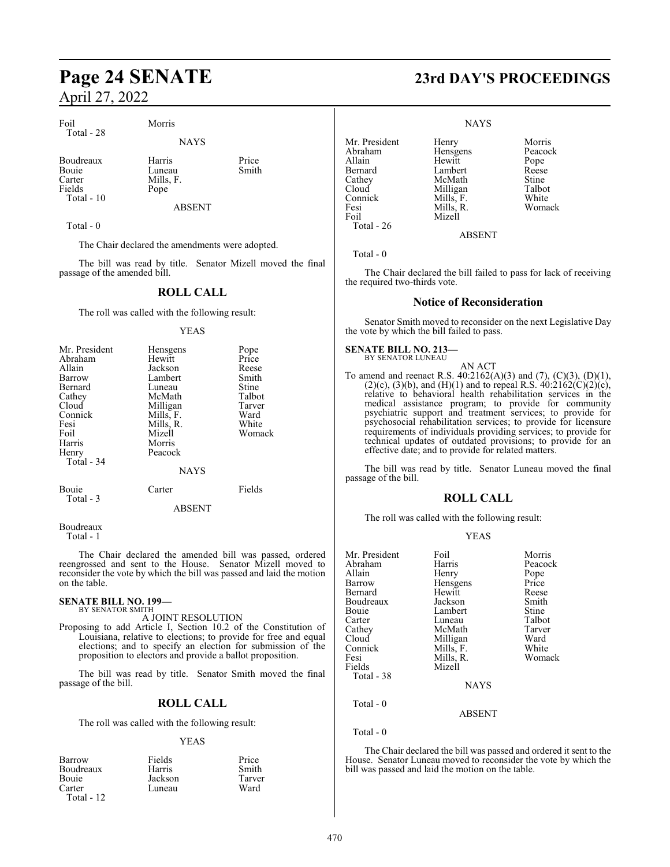Foil Morris Total - 28

Boudreaux Harris Price<br>Bouie Luneau Smith Bouie Luneau<br>Carter Mills. F Fields Pope Total - 10

Mills, F.

NAYS

ABSENT

Total - 0

The Chair declared the amendments were adopted.

The bill was read by title. Senator Mizell moved the final passage of the amended bill.

### **ROLL CALL**

The roll was called with the following result:

#### YEAS

| Mr. President      | Hensgens    | Pope   |
|--------------------|-------------|--------|
| Abraham            | Hewitt      | Price  |
| Allain             | Jackson     | Reese  |
| Barrow             | Lambert     | Smith  |
| Bernard            | Luneau      | Stine  |
| Cathey             | McMath      | Talbot |
| Cloud              | Milligan    | Tarver |
| Connick            | Mills, F.   | Ward   |
| Fesi               | Mills, R.   | White  |
| Foil               | Mizell      | Womack |
| Harris             | Morris      |        |
| Henry              | Peacock     |        |
| Total - 34         |             |        |
|                    | <b>NAYS</b> |        |
| Bouie<br>Total - 3 | Carter      | Fields |
|                    | ABSENT      |        |

Boudreaux Total - 1

The Chair declared the amended bill was passed, ordered reengrossed and sent to the House. Senator Mizell moved to reconsider the vote by which the bill was passed and laid the motion on the table.

## **SENATE BILL NO. 199—** BY SENATOR SMITH

A JOINT RESOLUTION

Proposing to add Article I, Section 10.2 of the Constitution of Louisiana, relative to elections; to provide for free and equal elections; and to specify an election for submission of the proposition to electors and provide a ballot proposition.

The bill was read by title. Senator Smith moved the final passage of the bill.

#### **ROLL CALL**

The roll was called with the following result:

#### YEAS

| Barrow       | Fields  | Price  |
|--------------|---------|--------|
| Boudreaux    | Harris  | Smith  |
| Bouie        | Jackson | Tarver |
| Carter       | Luneau  | Ward   |
| Total - $12$ |         |        |

## **Page 24 SENATE 23rd DAY'S PROCEEDINGS**

Womack

**NAYS** 

| Mr. President | Henry     | Morris  |
|---------------|-----------|---------|
| Abraham       | Hensgens  | Peacock |
| Allain        | Hewitt    | Pope    |
| Bernard       | Lambert   | Reese   |
| Cathey        | McMath    | Stine   |
| Cloud         | Milligan  | Talbot  |
| Connick       | Mills, F. | White   |
| Fesi          | Mills, R. | Womack  |
| Foil          | Mizell    |         |
| Total - $26$  |           |         |
|               | ABSENT    |         |

Total - 0

The Chair declared the bill failed to pass for lack of receiving the required two-thirds vote.

#### **Notice of Reconsideration**

Senator Smith moved to reconsider on the next Legislative Day the vote by which the bill failed to pass.

#### **SENATE BILL NO. 213—** BY SENATOR LUNEAU

AN ACT To amend and reenact R.S. 40:2162(A)(3) and (7), (C)(3), (D)(1),  $(2)(c)$ ,  $(3)(b)$ , and  $(H)(1)$  and to repeal R.S.  $40:2162(C)(2)(c)$ , relative to behavioral health rehabilitation services in the medical assistance program; to provide for community psychiatric support and treatment services; to provide for psychosocial rehabilitation services; to provide for licensure requirements of individuals providing services; to provide for technical updates of outdated provisions; to provide for an effective date; and to provide for related matters.

The bill was read by title. Senator Luneau moved the final passage of the bill.

#### **ROLL CALL**

The roll was called with the following result:

#### YEAS

| Mr. President | Foil        | Morris  |
|---------------|-------------|---------|
| Abraham       | Harris      | Peacock |
| Allain        | Henry       | Pope    |
| Barrow        | Hensgens    | Price   |
| Bernard       | Hewitt      | Reese   |
| Boudreaux     | Jackson     | Smith   |
| Bouie         | Lambert     | Stine   |
| Carter        | Luneau      | Talbot  |
| Cathey        | McMath      | Tarver  |
| Cloud         | Milligan    | Ward    |
| Connick       | Mills, F.   | White   |
| Fesi          | Mills, R.   | Womack  |
| Fields        | Mizell      |         |
| Total - 38    |             |         |
|               | <b>NAYS</b> |         |
| Total - 0     |             |         |

#### ABSENT

Total - 0

The Chair declared the bill was passed and ordered it sent to the House. Senator Luneau moved to reconsider the vote by which the bill was passed and laid the motion on the table.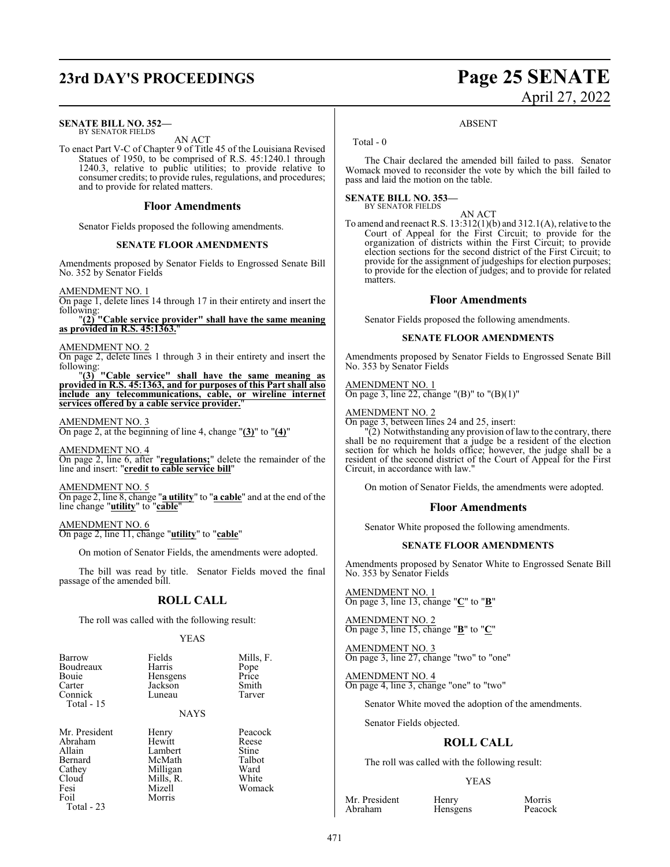## **23rd DAY'S PROCEEDINGS Page 25 SENATE**

#### **SENATE BILL NO. 352—** BY SENATOR FIELDS

AN ACT

To enact Part V-C of Chapter 9 of Title 45 of the Louisiana Revised Statues of 1950, to be comprised of R.S. 45:1240.1 through 1240.3, relative to public utilities; to provide relative to consumer credits; to provide rules, regulations, and procedures; and to provide for related matters.

#### **Floor Amendments**

Senator Fields proposed the following amendments.

#### **SENATE FLOOR AMENDMENTS**

Amendments proposed by Senator Fields to Engrossed Senate Bill No. 352 by Senator Fields

AMENDMENT NO. 1

On page 1, delete lines 14 through 17 in their entirety and insert the following:

"**(2) "Cable service provider" shall have the same meaning as provided in R.S. 45:1363.**"

#### AMENDMENT NO. 2

On page 2, delete lines 1 through 3 in their entirety and insert the following:

"**(3) "Cable service" shall have the same meaning as provided in R.S. 45:1363, and for purposes of this Part shall also include any telecommunications, cable, or wireline internet services offered by a cable service provider.**"

#### AMENDMENT NO. 3

On page 2, at the beginning of line 4, change "**(3)**" to "**(4)**"

AMENDMENT NO. 4 On page 2, line 6, after "**regulations;**" delete the remainder of the line and insert: "**credit to cable service bill**"

AMENDMENT NO. 5

On page 2, line 8, change "**a utility**" to "**a cable**" and at the end of the line change "**utility**" to "**cable**"

AMENDMENT NO. 6 On page 2, line 11, change "**utility**" to "**cable**"

On motion of Senator Fields, the amendments were adopted.

The bill was read by title. Senator Fields moved the final passage of the amended bill.

#### **ROLL CALL**

The roll was called with the following result:

#### YEAS

| Barrow       | Fields   | Mills, F. |
|--------------|----------|-----------|
| Boudreaux    | Harris   | Pope      |
| Bouie        | Hensgens | Price     |
| Carter       | Jackson  | Smith     |
| Connick      | Luneau   | Tarver    |
| Total - $15$ |          |           |

NAYS

Mr. President Henry Peacock<br>Abraham Hewitt Reese Abraham Hewitt Reese Allain Lambert Stine<br>Bernard McMath Talbot Bernard McMath Talbo<br>Cathey Milligan Ward Cathey Milligan Ward<br>Cloud Mills. R. White Cloud Mills, R.<br>Fesi Mizell Fesi Mizell Womack

Morris

Total - 23

# April 27, 2022

#### ABSENT

Total - 0

The Chair declared the amended bill failed to pass. Senator Womack moved to reconsider the vote by which the bill failed to pass and laid the motion on the table.

#### AN ACT

To amend and reenact R.S. 13:312(1)(b) and 312.1(A), relative to the Court of Appeal for the First Circuit; to provide for the organization of districts within the First Circuit; to provide election sections for the second district of the First Circuit; to provide for the assignment of judgeships for election purposes; to provide for the election of judges; and to provide for related matters.

#### **Floor Amendments**

Senator Fields proposed the following amendments.

#### **SENATE FLOOR AMENDMENTS**

Amendments proposed by Senator Fields to Engrossed Senate Bill No. 353 by Senator Fields

AMENDMENT NO. 1 On page 3, line 22, change "(B)" to "(B)(1)"

#### AMENDMENT NO. 2

On page 3, between lines 24 and 25, insert:

"(2) Notwithstanding any provision oflaw to the contrary, there shall be no requirement that a judge be a resident of the election section for which he holds office; however, the judge shall be a resident of the second district of the Court of Appeal for the First Circuit, in accordance with law."

On motion of Senator Fields, the amendments were adopted.

#### **Floor Amendments**

Senator White proposed the following amendments.

#### **SENATE FLOOR AMENDMENTS**

Amendments proposed by Senator White to Engrossed Senate Bill No. 353 by Senator Fields

AMENDMENT NO. 1 On page 3, line 13, change "**C**" to "**B**"

#### AMENDMENT NO. 2 On page 3, line 15, change "**B**" to "**C**"

AMENDMENT NO. 3 On page 3, line 27, change "two" to "one"

AMENDMENT NO. 4 On page 4, line 3, change "one" to "two"

Senator White moved the adoption of the amendments.

Senator Fields objected.

#### **ROLL CALL**

The roll was called with the following result:

Hensgens

#### YEAS

Mr. President Henry Morris<br>Abraham Hensgens Peacock

**SENATE BILL NO. 353—** BY SENATOR FIELDS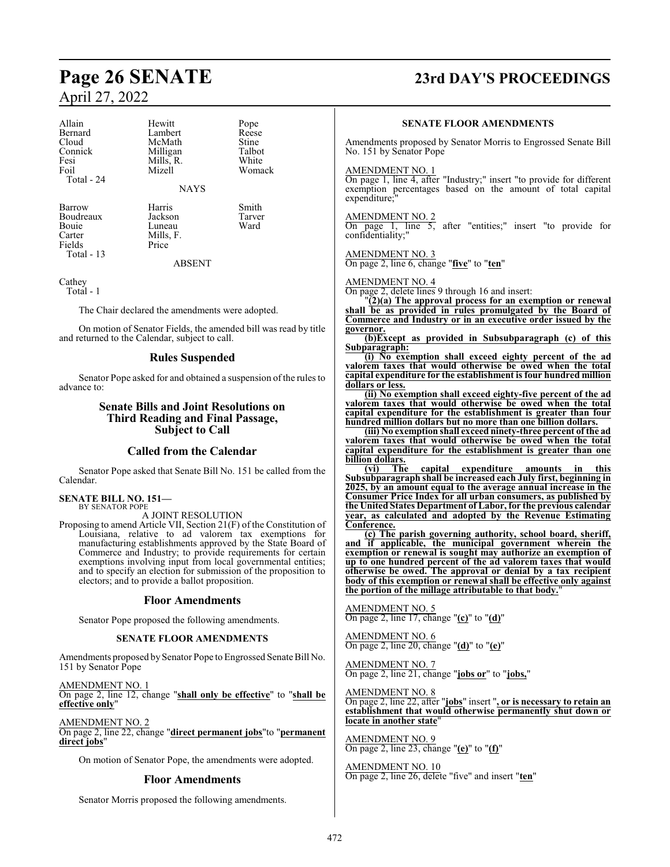#### Allain Hewitt Pope Bernard Lambert Reese Cloud McMath Stine<br>
Connick Milligan Talbot Connick Milligan Talbot<br>
Fesi Mills, R. White Fesi Mills, R.<br>Foil Mizell Total - 24

**NAYS** 

Barrow Harris Smith<br>Boudreaux Jackson Tarver Boudreaux Jackson Tarver Bouie Luneau<br>Carter Mills. F Fields Total - 13

Mills, F.<br>Price

Womack

ABSENT

Cathey

Total - 1

The Chair declared the amendments were adopted.

On motion of Senator Fields, the amended bill was read by title and returned to the Calendar, subject to call.

#### **Rules Suspended**

Senator Pope asked for and obtained a suspension of the rules to advance to:

### **Senate Bills and Joint Resolutions on Third Reading and Final Passage, Subject to Call**

### **Called from the Calendar**

Senator Pope asked that Senate Bill No. 151 be called from the Calendar.

#### **SENATE BILL NO. 151—**

BY SENATOR POPE A JOINT RESOLUTION

Proposing to amend Article VII, Section 21(F) of the Constitution of Louisiana, relative to ad valorem tax exemptions for manufacturing establishments approved by the State Board of Commerce and Industry; to provide requirements for certain exemptions involving input from local governmental entities; and to specify an election for submission of the proposition to electors; and to provide a ballot proposition.

#### **Floor Amendments**

Senator Pope proposed the following amendments.

#### **SENATE FLOOR AMENDMENTS**

Amendments proposed by Senator Pope to Engrossed Senate Bill No. 151 by Senator Pope

AMENDMENT NO. 1 On page 2, line 12, change "**shall only be effective**" to "**shall be effective only**"

AMENDMENT NO. 2

On page 2, line 22, change "**direct permanent jobs**"to "**permanent direct jobs**"

On motion of Senator Pope, the amendments were adopted.

#### **Floor Amendments**

Senator Morris proposed the following amendments.

## **Page 26 SENATE 23rd DAY'S PROCEEDINGS**

#### **SENATE FLOOR AMENDMENTS**

Amendments proposed by Senator Morris to Engrossed Senate Bill No. 151 by Senator Pope

#### AMENDMENT NO. 1

On page 1, line 4, after "Industry;" insert "to provide for different exemption percentages based on the amount of total capital expenditure;

#### AMENDMENT NO. 2

On page 1, line 5, after "entities;" insert "to provide for confidentiality;"

#### AMENDMENT NO. 3

On page 2, line 6, change "**five**" to "**ten**"

#### AMENDMENT NO. 4

On page 2, delete lines 9 through 16 and insert:

"**(2)(a) The approval process for an exemption or renewal shall be as provided in rules promulgated by the Board of Commerce and Industry or in an executive order issued by the governor.**

**(b)Except as provided in Subsubparagraph (c) of this Subparagraph:**

**(i) No exemption shall exceed eighty percent of the ad valorem taxes that would otherwise be owed when the total capital expenditure for the establishment is four hundred million dollars or less.**

**(ii) No exemption shall exceed eighty-five percent of the ad valorem taxes that would otherwise be owed when the total capital expenditure for the establishment is greater than four hundred million dollars but no more than one billion dollars.**

**(iii) No exemption shall exceed ninety-three percent of the ad valorem taxes that would otherwise be owed when the total capital expenditure for the establishment is greater than one billion dollars.**

**(vi) The capital expenditure amounts in this Subsubparagraph shall be increased each July first, beginning in 2025, by an amount equal to the average annual increase in the Consumer Price Index for all urban consumers, as published by the United States Department of Labor, for the previous calendar year, as calculated and adopted by the Revenue Estimating Conference.**

**(c) The parish governing authority, school board, sheriff, and if applicable, the municipal government wherein the exemption or renewal is sought may authorize an exemption of up to one hundred percent of the ad valorem taxes that would otherwise be owed. The approval or denial by a tax recipient body of this exemption or renewal shall be effective only against the portion of the millage attributable to that body.**"

AMENDMENT NO. 5 On page 2, line 17, change "**(c)**" to "**(d)**"

AMENDMENT NO. 6 On page 2, line 20, change "**(d)**" to "**(e)**"

AMENDMENT NO. 7 On page 2, line 21, change "**jobs or**" to "**jobs,**"

AMENDMENT NO. 8

On page 2, line 22, after "**jobs**" insert "**, or is necessary to retain an establishment that would otherwise permanently shut down or locate in another state**"

AMENDMENT NO. 9 On page 2, line 23, change "**(e)**" to "**(f)**"

AMENDMENT NO. 10 On page 2, line 26, delete "five" and insert "**ten**"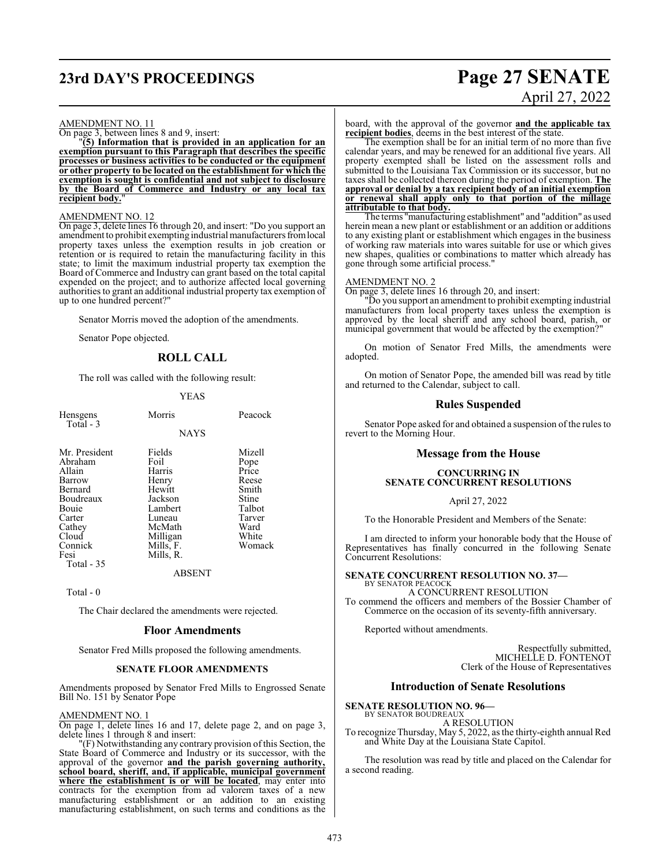## **23rd DAY'S PROCEEDINGS Page 27 SENATE**

# April 27, 2022

#### AMENDMENT NO. 11

On page 3, between lines 8 and 9, insert:

"**(5) Information that is provided in an application for an exemption pursuant to this Paragraph that describes the specific processes or business activities to be conducted or the equipment or other property to be located on the establishment for which the exemption is sought is confidential and not subject to disclosure by the Board of Commerce and Industry or any local tax** recipient body.

#### AMENDMENT NO. 12

On page 3, delete lines 16 through 20, and insert: "Do you support an amendment to prohibit exempting industrial manufacturers fromlocal property taxes unless the exemption results in job creation or retention or is required to retain the manufacturing facility in this state; to limit the maximum industrial property tax exemption the Board of Commerce and Industry can grant based on the total capital expended on the project; and to authorize affected local governing authorities to grant an additional industrial property tax exemption of up to one hundred percent?"

Senator Morris moved the adoption of the amendments.

Senator Pope objected.

#### **ROLL CALL**

The roll was called with the following result:

#### YEAS

| Hensgens<br>Total - 3                                                                                                                       | Morris                                                                                                                      | Peacock                                                                                           |
|---------------------------------------------------------------------------------------------------------------------------------------------|-----------------------------------------------------------------------------------------------------------------------------|---------------------------------------------------------------------------------------------------|
|                                                                                                                                             | <b>NAYS</b>                                                                                                                 |                                                                                                   |
| Mr. President<br>Abraham<br>Allain<br>Barrow<br>Bernard<br>Boudreaux<br>Bouie<br>Carter<br>Cathey<br>Cloud<br>Connick<br>Fesi<br>Total - 35 | Fields<br>Foil<br>Harris<br>Henry<br>Hewitt<br>Jackson<br>Lambert<br>Luneau<br>McMath<br>Milligan<br>Mills, F.<br>Mills, R. | Mizell<br>Pope<br>Price<br>Reese<br>Smith<br>Stine<br>Talbot<br>Tarver<br>Ward<br>White<br>Womack |
|                                                                                                                                             | ABSENT                                                                                                                      |                                                                                                   |

Total - 0

The Chair declared the amendments were rejected.

#### **Floor Amendments**

Senator Fred Mills proposed the following amendments.

#### **SENATE FLOOR AMENDMENTS**

Amendments proposed by Senator Fred Mills to Engrossed Senate Bill No. 151 by Senator Pope

#### AMENDMENT NO. 1

On page 1, delete lines 16 and 17, delete page 2, and on page 3, delete lines 1 through 8 and insert:

"(F) Notwithstanding any contrary provision of this Section, the State Board of Commerce and Industry or its successor, with the approval of the governor **and the parish governing authority, school board, sheriff, and, if applicable, municipal government where the establishment is or will be located**, may enter into contracts for the exemption from ad valorem taxes of a new manufacturing establishment or an addition to an existing manufacturing establishment, on such terms and conditions as the

board, with the approval of the governor **and the applicable tax recipient bodies**, deems in the best interest of the state.

The exemption shall be for an initial term of no more than five calendar years, and may be renewed for an additional five years. All property exempted shall be listed on the assessment rolls and submitted to the Louisiana Tax Commission or its successor, but no taxes shall be collected thereon during the period of exemption. **The approval or denial by a tax recipient body of an initial exemption or renewal shall apply only to that portion of the millage attributable to that body.**

The terms "manufacturing establishment" and "addition" as used herein mean a new plant or establishment or an addition or additions to any existing plant or establishment which engages in the business of working raw materials into wares suitable for use or which gives new shapes, qualities or combinations to matter which already has gone through some artificial process."

#### AMENDMENT NO. 2

On page 3, delete lines 16 through 20, and insert:

"Do you support an amendment to prohibit exempting industrial manufacturers from local property taxes unless the exemption is approved by the local sheriff and any school board, parish, or municipal government that would be affected by the exemption?

On motion of Senator Fred Mills, the amendments were adopted.

On motion of Senator Pope, the amended bill was read by title and returned to the Calendar, subject to call.

#### **Rules Suspended**

Senator Pope asked for and obtained a suspension of the rules to revert to the Morning Hour.

#### **Message from the House**

#### **CONCURRING IN SENATE CONCURRENT RESOLUTIONS**

#### April 27, 2022

To the Honorable President and Members of the Senate:

I am directed to inform your honorable body that the House of Representatives has finally concurred in the following Senate Concurrent Resolutions:

**SENATE CONCURRENT RESOLUTION NO. 37—** BY SENATOR PEACOCK

A CONCURRENT RESOLUTION To commend the officers and members of the Bossier Chamber of Commerce on the occasion of its seventy-fifth anniversary.

Reported without amendments.

Respectfully submitted, MICHELLE D. FONTENOT Clerk of the House of Representatives

#### **Introduction of Senate Resolutions**

**SENATE RESOLUTION NO. 96—** BY SENATOR BOUDREAUX

A RESOLUTION

To recognize Thursday, May 5, 2022, as the thirty-eighth annual Red and White Day at the Louisiana State Capitol.

The resolution was read by title and placed on the Calendar for a second reading.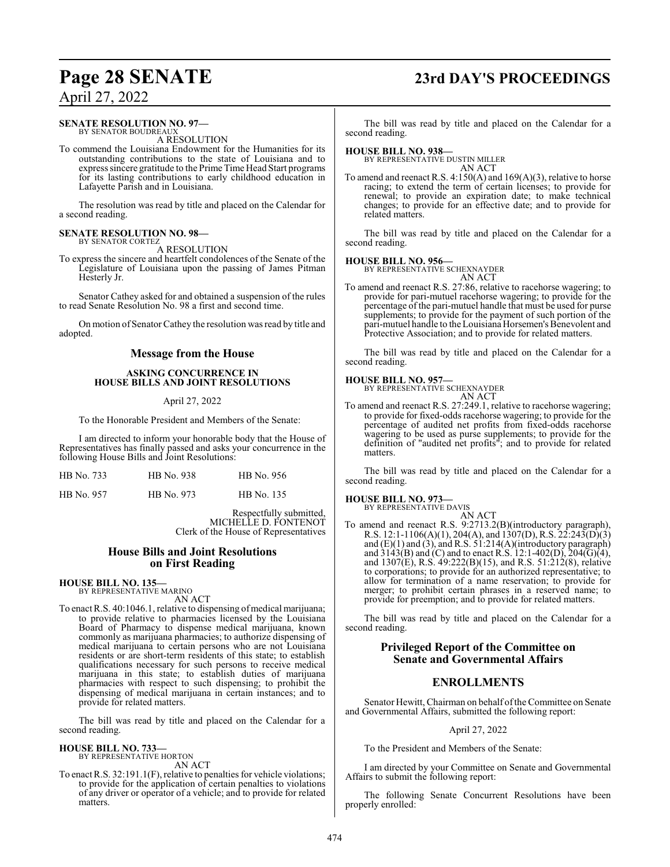## **Page 28 SENATE 23rd DAY'S PROCEEDINGS**

## April 27, 2022

#### **SENATE RESOLUTION NO. 97—**

BY SENATOR BOUDREAU A RESOLUTION

To commend the Louisiana Endowment for the Humanities for its outstanding contributions to the state of Louisiana and to express sincere gratitude to the Prime Time Head Start programs for its lasting contributions to early childhood education in Lafayette Parish and in Louisiana.

The resolution was read by title and placed on the Calendar for a second reading.

#### **SENATE RESOLUTION NO. 98—** BY SENATOR CORTEZ

A RESOLUTION

To express the sincere and heartfelt condolences of the Senate of the Legislature of Louisiana upon the passing of James Pitman Hesterly Jr.

Senator Cathey asked for and obtained a suspension of the rules to read Senate Resolution No. 98 a first and second time.

On motion of Senator Cathey the resolution was read by title and adopted.

#### **Message from the House**

#### **ASKING CONCURRENCE IN HOUSE BILLS AND JOINT RESOLUTIONS**

#### April 27, 2022

To the Honorable President and Members of the Senate:

I am directed to inform your honorable body that the House of Representatives has finally passed and asks your concurrence in the following House Bills and Joint Resolutions:

| HB No. 733 | HB No. 938 | HB No. 956 |
|------------|------------|------------|
| HB No. 957 | HB No. 973 | HB No. 135 |

Respectfully submitted, MICHELLE D. FONTENOT Clerk of the House of Representatives

#### **House Bills and Joint Resolutions on First Reading**

**HOUSE BILL NO. 135—**

BY REPRESENTATIVE MARINO AN ACT

To enact R.S. 40:1046.1, relative to dispensing of medical marijuana; to provide relative to pharmacies licensed by the Louisiana Board of Pharmacy to dispense medical marijuana, known commonly as marijuana pharmacies; to authorize dispensing of medical marijuana to certain persons who are not Louisiana residents or are short-term residents of this state; to establish qualifications necessary for such persons to receive medical marijuana in this state; to establish duties of marijuana pharmacies with respect to such dispensing; to prohibit the dispensing of medical marijuana in certain instances; and to provide for related matters.

The bill was read by title and placed on the Calendar for a second reading.

#### **HOUSE BILL NO. 733—**

BY REPRESENTATIVE HORTON AN ACT

To enact R.S. 32:191.1(F), relative to penalties for vehicle violations; to provide for the application of certain penalties to violations of any driver or operator of a vehicle; and to provide for related matters.

The bill was read by title and placed on the Calendar for a second reading.

#### **HOUSE BILL NO. 938—**

BY REPRESENTATIVE DUSTIN MILLER AN ACT

To amend and reenact R.S. 4:150(A) and 169(A)(3), relative to horse racing; to extend the term of certain licenses; to provide for renewal; to provide an expiration date; to make technical changes; to provide for an effective date; and to provide for related matters.

The bill was read by title and placed on the Calendar for a second reading.

**HOUSE BILL NO. 956—** BY REPRESENTATIVE SCHEXNAYDER AN ACT

To amend and reenact R.S. 27:86, relative to racehorse wagering; to provide for pari-mutuel racehorse wagering; to provide for the percentage of the pari-mutuel handle that must be used for purse supplements; to provide for the payment of such portion of the pari-mutuel handle to theLouisiana Horsemen's Benevolent and Protective Association; and to provide for related matters.

The bill was read by title and placed on the Calendar for a second reading.

#### **HOUSE BILL NO. 957—**

BY REPRESENTATIVE SCHEXNAYDER AN ACT

To amend and reenact R.S. 27:249.1, relative to racehorse wagering; to provide for fixed-odds racehorse wagering; to provide for the percentage of audited net profits from fixed-odds racehorse wagering to be used as purse supplements; to provide for the definition of "audited net profits"; and to provide for related matters.

The bill was read by title and placed on the Calendar for a second reading.

#### **HOUSE BILL NO. 973—**

BY REPRESENTATIVE DAVIS AN ACT

To amend and reenact R.S. 9:2713.2(B)(introductory paragraph), R.S. 12:1-1106(A)(1), 204(A), and 1307(D), R.S. 22:243(D)(3) and  $(E)(1)$  and  $(3)$ , and R.S. 51:214 $(A)($ introductory paragraph $)$ and  $3143(B)$  and (C) and to enact R.S. 12:1-402(D), 204(G)(4), and  $1307(E)$ , R.S.  $49:222(B)(15)$ , and R.S.  $51:212(8)$ , relative to corporations; to provide for an authorized representative; to allow for termination of a name reservation; to provide for merger; to prohibit certain phrases in a reserved name; to provide for preemption; and to provide for related matters.

The bill was read by title and placed on the Calendar for a second reading.

### **Privileged Report of the Committee on Senate and Governmental Affairs**

### **ENROLLMENTS**

Senator Hewitt, Chairman on behalf of the Committee on Senate and Governmental Affairs, submitted the following report:

#### April 27, 2022

To the President and Members of the Senate:

I am directed by your Committee on Senate and Governmental Affairs to submit the following report:

The following Senate Concurrent Resolutions have been properly enrolled: